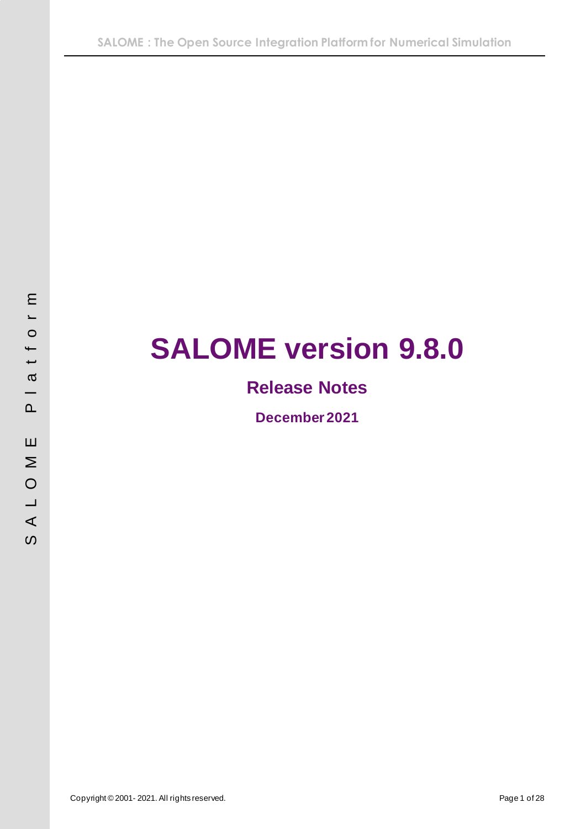# **SALOME version 9.8.0**

# **Release Notes**

**December 2021**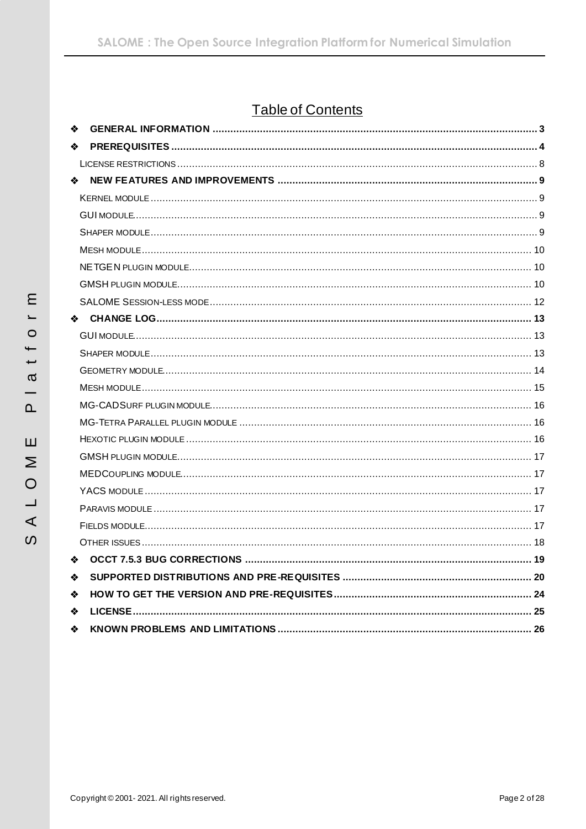# **Table of Contents**

| ❖  |                                       |    |
|----|---------------------------------------|----|
| ❖  |                                       |    |
|    |                                       |    |
| ❖  |                                       |    |
|    |                                       |    |
|    |                                       |    |
|    |                                       |    |
|    |                                       |    |
|    |                                       |    |
|    |                                       |    |
|    |                                       |    |
| 泰兰 |                                       |    |
|    |                                       |    |
|    |                                       |    |
|    |                                       |    |
|    |                                       |    |
|    |                                       |    |
|    |                                       |    |
|    |                                       |    |
|    |                                       |    |
|    |                                       |    |
|    |                                       |    |
|    |                                       |    |
|    |                                       |    |
|    |                                       |    |
|    | $\bullet$ OCCT 7.5.3 BUG CORRECTIONS. | 19 |
| ❖  |                                       |    |
| ❖  |                                       |    |
| ❖  |                                       |    |
| ❖  |                                       |    |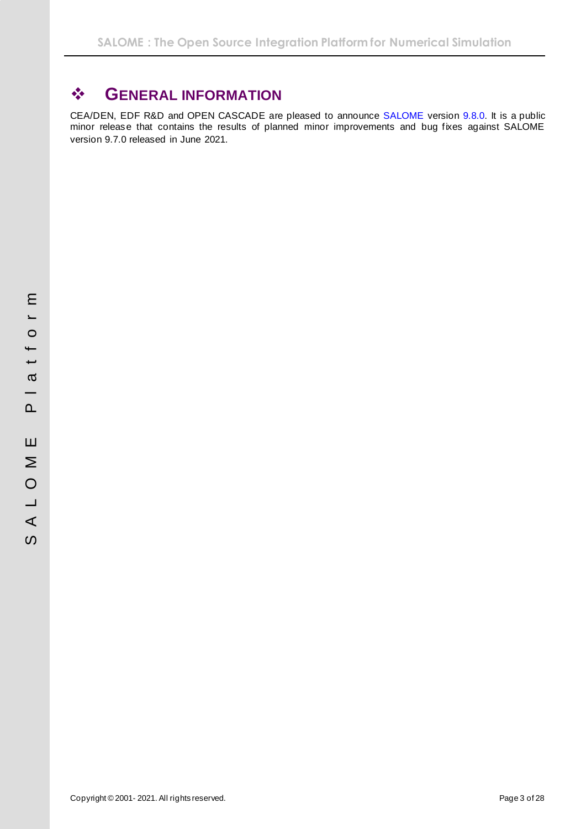# <span id="page-2-0"></span>❖ **GENERAL INFORMATION**

CEA/DEN, EDF R&D and OPEN CASCADE are pleased to announce SALOME version 9.8.0. It is a public minor release that contains the results of planned minor improvements and bug fixes against SALOME version 9.7.0 released in June 2021.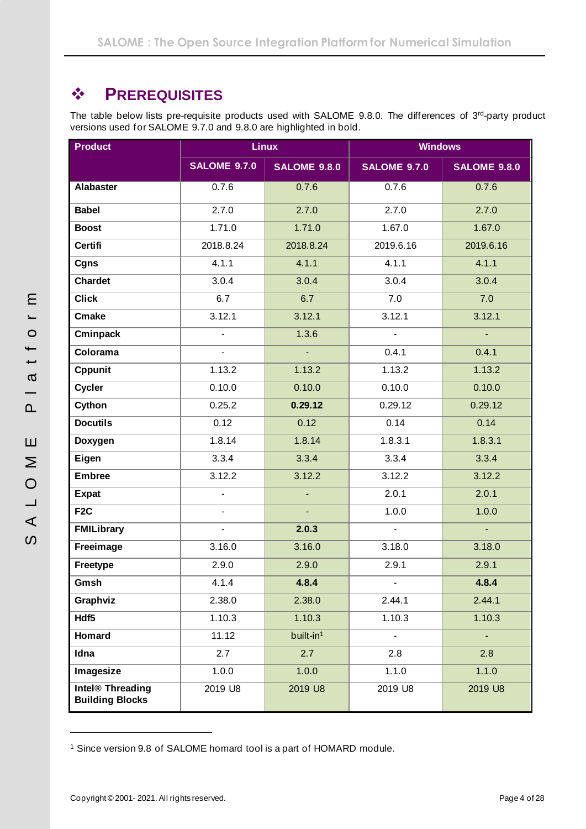# <span id="page-3-0"></span>❖ **PREREQUISITES**

The table below lists pre-requisite products used with SALOME 9.8.0. The differences of 3rd-party product versions used for SALOME 9.7.0 and 9.8.0 are highlighted in bold.

| <b>Product</b>                                         | <b>Linux</b>             | <b>Windows</b>        |                     |                     |  |
|--------------------------------------------------------|--------------------------|-----------------------|---------------------|---------------------|--|
|                                                        | <b>SALOME 9.7.0</b>      | <b>SALOME 9.8.0</b>   | <b>SALOME 9.7.0</b> | <b>SALOME 9.8.0</b> |  |
| <b>Alabaster</b>                                       | 0.7.6                    | 0.7.6                 | 0.7.6               | 0.7.6               |  |
| <b>Babel</b>                                           | 2.7.0                    | 2.7.0                 | 2.7.0               | 2.7.0               |  |
| <b>Boost</b>                                           | 1.71.0                   | 1.71.0                | 1.67.0              | 1.67.0              |  |
| <b>Certifi</b>                                         | 2018.8.24                | 2018.8.24             | 2019.6.16           | 2019.6.16           |  |
| Cgns                                                   | 4.1.1                    | 4.1.1                 | 4.1.1               | 4.1.1               |  |
| <b>Chardet</b>                                         | 3.0.4                    | 3.0.4                 | 3.0.4               | 3.0.4               |  |
| <b>Click</b>                                           | 6.7                      | 6.7                   | 7.0                 | 7.0                 |  |
| <b>Cmake</b>                                           | 3.12.1                   | 3.12.1                | 3.12.1              | 3.12.1              |  |
| Cminpack                                               | $\overline{\phantom{0}}$ | 1.3.6                 | $\overline{a}$      |                     |  |
| Colorama                                               | $\overline{\phantom{0}}$ | ä,                    | 0.4.1               | 0.4.1               |  |
| Cppunit                                                | 1.13.2                   | 1.13.2                | 1.13.2              | 1.13.2              |  |
| <b>Cycler</b>                                          | 0.10.0                   | 0.10.0                | 0.10.0              | 0.10.0              |  |
| Cython                                                 | 0.25.2                   | 0.29.12               | 0.29.12             | 0.29.12             |  |
| <b>Docutils</b>                                        | 0.12                     | 0.12                  | 0.14                | 0.14                |  |
| Doxygen                                                | 1.8.14                   | 1.8.14                | 1.8.3.1             | 1.8.3.1             |  |
| Eigen                                                  | 3.3.4                    | 3.3.4                 | 3.3.4               | 3.3.4               |  |
| <b>Embree</b>                                          | 3.12.2                   | 3.12.2                | 3.12.2              | 3.12.2              |  |
| <b>Expat</b>                                           | $\overline{\phantom{0}}$ | ä,                    | 2.0.1               | 2.0.1               |  |
| F <sub>2</sub> C                                       | $\overline{\phantom{0}}$ | ÷,                    | 1.0.0               | 1.0.0               |  |
| <b>FMILibrary</b>                                      | $\overline{\phantom{0}}$ | 2.0.3                 | $\overline{a}$      | L.                  |  |
| Freeimage                                              | 3.16.0                   | 3.16.0                | 3.18.0              | 3.18.0              |  |
| Freetype                                               | 2.9.0                    | 2.9.0                 | 2.9.1               | 2.9.1               |  |
| Gmsh                                                   | 4.1.4                    | 4.8.4                 |                     | 4.8.4               |  |
| Graphviz                                               | 2.38.0                   | 2.38.0                | 2.44.1              | 2.44.1              |  |
| Hdf5                                                   | 1.10.3                   | 1.10.3                | 1.10.3              | 1.10.3              |  |
| Homard                                                 | 11.12                    | built-in <sup>1</sup> | $\overline{a}$      |                     |  |
| Idna                                                   | 2.7                      | 2.7                   | 2.8                 | 2.8                 |  |
| Imagesize                                              | 1.0.0                    | 1.0.0                 | 1.1.0               | 1.1.0               |  |
| Intel <sup>®</sup> Threading<br><b>Building Blocks</b> | 2019 U8                  | 2019 U8               | 2019 U8             | 2019 U8             |  |

<sup>1</sup> Since version 9.8 of SALOME homard tool is a part of HOMARD module.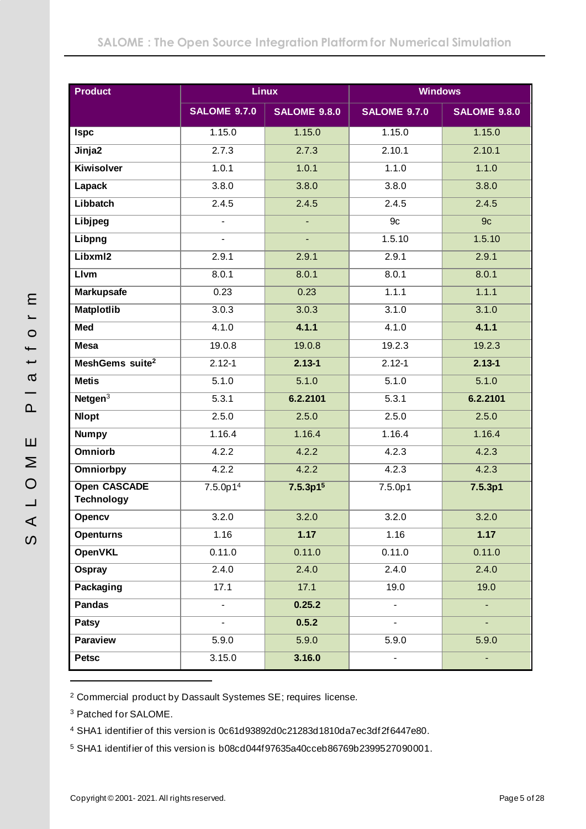| <b>Product</b>                           | <b>Linux</b>         |                      | <b>Windows</b>      |                     |  |  |
|------------------------------------------|----------------------|----------------------|---------------------|---------------------|--|--|
|                                          | <b>SALOME 9.7.0</b>  | <b>SALOME 9.8.0</b>  | <b>SALOME 9.7.0</b> | <b>SALOME 9.8.0</b> |  |  |
| <b>Ispc</b>                              | 1.15.0               | 1.15.0               | 1.15.0              | 1.15.0              |  |  |
| Jinja2                                   | 2.7.3                | 2.7.3                | 2.10.1              | 2.10.1              |  |  |
| <b>Kiwisolver</b>                        | 1.0.1                | 1.0.1                | 1.1.0               | 1.1.0               |  |  |
| Lapack                                   | 3.8.0                | 3.8.0                | 3.8.0               | 3.8.0               |  |  |
| Libbatch                                 | 2.4.5                | 2.4.5                | 2.4.5               | 2.4.5               |  |  |
| Libjpeg                                  | $\overline{a}$       |                      | 9c                  | 9 <sub>c</sub>      |  |  |
| Libpng                                   |                      |                      | 1.5.10              | 1.5.10              |  |  |
| Libxml2                                  | 2.9.1                | 2.9.1                | 2.9.1               | 2.9.1               |  |  |
| <b>Livm</b>                              | 8.0.1                | 8.0.1                | 8.0.1               | 8.0.1               |  |  |
| <b>Markupsafe</b>                        | 0.23                 | 0.23                 | 1.1.1               | 1.1.1               |  |  |
| <b>Matplotlib</b>                        | 3.0.3                | 3.0.3                | 3.1.0               | 3.1.0               |  |  |
| Med                                      | 4.1.0                | 4.1.1                | 4.1.0               | 4.1.1               |  |  |
| <b>Mesa</b>                              | 19.0.8               | 19.0.8               | 19.2.3              | 19.2.3              |  |  |
| MeshGems suite <sup>2</sup>              | $2.12 - 1$           | $2.13 - 1$           | $2.12 - 1$          | $2.13 - 1$          |  |  |
| <b>Metis</b>                             | 5.1.0                | 5.1.0                | 5.1.0               | 5.1.0               |  |  |
| Netgen $3$                               | 5.3.1                | 6.2.2101             | 5.3.1               | 6.2.2101            |  |  |
| <b>Nlopt</b>                             | 2.5.0                | 2.5.0                | 2.5.0               | 2.5.0               |  |  |
| <b>Numpy</b>                             | 1.16.4               | 1.16.4               | 1.16.4              | 1.16.4              |  |  |
| <b>Omniorb</b>                           | 4.2.2                | 4.2.2                | 4.2.3               | 4.2.3               |  |  |
| Omniorbpy                                | 4.2.2                | 4.2.2                | 4.2.3               | 4.2.3               |  |  |
| <b>Open CASCADE</b><br><b>Technology</b> | 7.5.0p1 <sup>4</sup> | 7.5.3p1 <sup>5</sup> | 7.5.0p1             | 7.5.3p1             |  |  |
| Opencv                                   | 3.2.0                | 3.2.0                | 3.2.0               | 3.2.0               |  |  |
| <b>Openturns</b>                         | 1.16                 | 1.17                 | 1.16                | 1.17                |  |  |
| <b>OpenVKL</b>                           | 0.11.0               | 0.11.0               | 0.11.0              | 0.11.0              |  |  |
| Ospray                                   | 2.4.0                | 2.4.0                | 2.4.0               | 2.4.0               |  |  |
| Packaging                                | 17.1                 | 17.1                 | 19.0                | 19.0                |  |  |
| <b>Pandas</b>                            | $\blacksquare$       | 0.25.2               | $\blacksquare$      | $\blacksquare$      |  |  |
| Patsy                                    | $\blacksquare$       | 0.5.2                |                     |                     |  |  |
| <b>Paraview</b>                          | 5.9.0                | 5.9.0                | 5.9.0               | 5.9.0               |  |  |
| <b>Petsc</b>                             | 3.15.0               | 3.16.0               |                     |                     |  |  |

<sup>2</sup> Commercial product by Dassault Systemes SE; requires license.

<sup>3</sup> Patched for SALOME.

<sup>4</sup> SHA1 identifier of this version is 0c61d93892d0c21283d1810da7ec3df2f6447e80.

<sup>5</sup> SHA1 identifier of this version is b08cd044f97635a40cceb86769b2399527090001.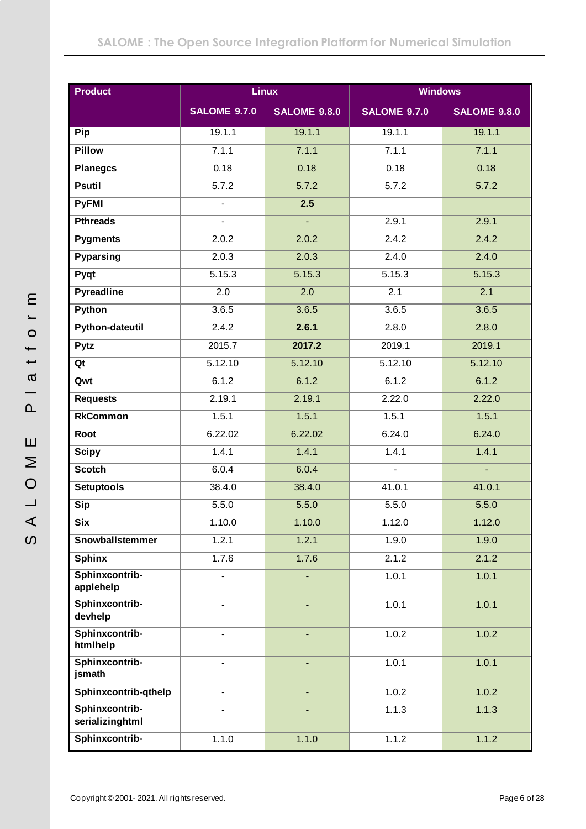| <b>Product</b>                    |                          | <b>Linux</b>        | <b>Windows</b>           |                     |  |  |
|-----------------------------------|--------------------------|---------------------|--------------------------|---------------------|--|--|
|                                   | <b>SALOME 9.7.0</b>      | <b>SALOME 9.8.0</b> | <b>SALOME 9.7.0</b>      | <b>SALOME 9.8.0</b> |  |  |
| Pip                               | 19.1.1                   | 19.1.1              | 19.1.1                   | 19.1.1              |  |  |
| <b>Pillow</b>                     | 7.1.1                    | 7.1.1               | 7.1.1                    | 7.1.1               |  |  |
| <b>Planegcs</b>                   | 0.18                     | 0.18                | 0.18                     | 0.18                |  |  |
| <b>Psutil</b>                     | 5.7.2                    | 5.7.2               | 5.7.2                    | 5.7.2               |  |  |
| <b>PyFMI</b>                      | $\overline{a}$           | 2.5                 |                          |                     |  |  |
| <b>Pthreads</b>                   | ۰.                       | $\omega_{\rm c}$    | 2.9.1                    | 2.9.1               |  |  |
| <b>Pygments</b>                   | 2.0.2                    | 2.0.2               | 2.4.2                    | 2.4.2               |  |  |
| <b>Pyparsing</b>                  | 2.0.3                    | 2.0.3               | 2.4.0                    | 2.4.0               |  |  |
| Pyqt                              | 5.15.3                   | 5.15.3              | 5.15.3                   | 5.15.3              |  |  |
| <b>Pyreadline</b>                 | 2.0                      | 2.0                 | 2.1                      | 2.1                 |  |  |
| Python                            | 3.6.5                    | 3.6.5               | 3.6.5                    | 3.6.5               |  |  |
| <b>Python-dateutil</b>            | 2.4.2                    | 2.6.1               | 2.8.0                    | 2.8.0               |  |  |
| Pytz                              | 2015.7                   | 2017.2              | 2019.1                   | 2019.1              |  |  |
| Qt                                | 5.12.10                  | 5.12.10             | 5.12.10                  | 5.12.10             |  |  |
| Qwt                               | 6.1.2                    | 6.1.2               | 6.1.2                    | 6.1.2               |  |  |
| <b>Requests</b>                   | 2.19.1                   | 2.19.1              | 2.22.0                   | 2.22.0              |  |  |
| <b>RkCommon</b>                   | 1.5.1                    | 1.5.1               | 1.5.1                    | 1.5.1               |  |  |
| Root                              | 6.22.02                  | 6.22.02             | 6.24.0                   | 6.24.0              |  |  |
| <b>Scipy</b>                      | 1.4.1                    | 1.4.1               | 1.4.1                    | 1.4.1               |  |  |
| <b>Scotch</b>                     | 6.0.4                    | 6.0.4               | $\overline{\phantom{0}}$ | $\mathbf{r}$        |  |  |
| <b>Setuptools</b>                 | 38.4.0                   | 38.4.0              | 41.0.1                   | 41.0.1              |  |  |
| <b>Sip</b>                        | 5.5.0                    | 5.5.0               | 5.5.0                    | 5.5.0               |  |  |
| <b>Six</b>                        | 1.10.0                   | 1.10.0              | 1.12.0                   | 1.12.0              |  |  |
| Snowballstemmer                   | 1.2.1                    | 1.2.1               | 1.9.0                    | 1.9.0               |  |  |
| <b>Sphinx</b>                     | 1.7.6                    | 1.7.6               | 2.1.2                    | 2.1.2               |  |  |
| Sphinxcontrib-<br>applehelp       |                          |                     | 1.0.1                    | 1.0.1               |  |  |
| Sphinxcontrib-<br>devhelp         | -                        |                     | 1.0.1                    | 1.0.1               |  |  |
| Sphinxcontrib-<br>htmlhelp        |                          |                     | 1.0.2                    | 1.0.2               |  |  |
| Sphinxcontrib-<br>jsmath          | $\overline{a}$           |                     | 1.0.1                    | 1.0.1               |  |  |
| Sphinxcontrib-qthelp              | $\overline{\phantom{0}}$ | ÷,                  | 1.0.2                    | 1.0.2               |  |  |
| Sphinxcontrib-<br>serializinghtml | $\overline{a}$           |                     | 1.1.3                    | 1.1.3               |  |  |
| Sphinxcontrib-                    | 1.1.0                    | 1.1.0               | 1.1.2                    | 1.1.2               |  |  |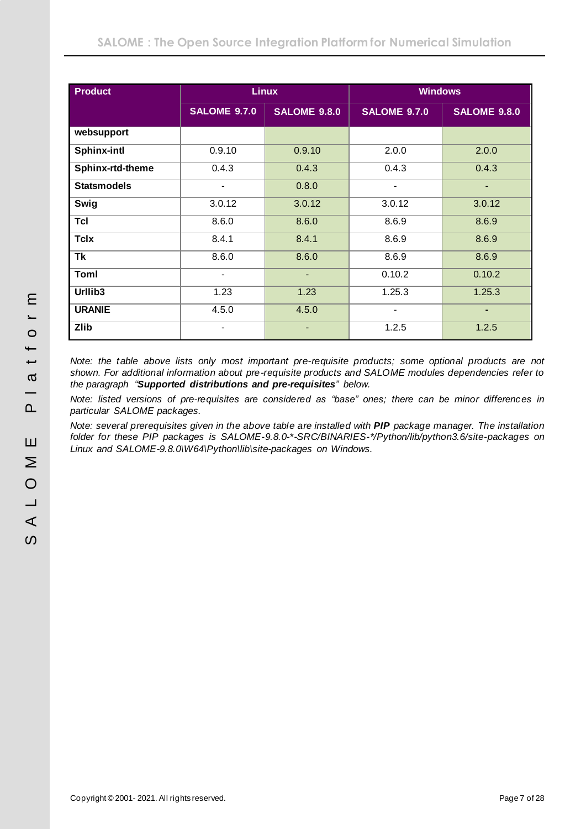| <b>Product</b>     |                          | <b>Linux</b>        | <b>Windows</b>           |                     |  |
|--------------------|--------------------------|---------------------|--------------------------|---------------------|--|
|                    | <b>SALOME 9.7.0</b>      | <b>SALOME 9.8.0</b> | <b>SALOME 9.7.0</b>      | <b>SALOME 9.8.0</b> |  |
| websupport         |                          |                     |                          |                     |  |
| <b>Sphinx-intl</b> | 0.9.10                   | 0.9.10              | 2.0.0                    | 2.0.0               |  |
| Sphinx-rtd-theme   | 0.4.3                    | 0.4.3               | 0.4.3                    | 0.4.3               |  |
| <b>Statsmodels</b> | $\blacksquare$           | 0.8.0               | $\overline{\phantom{a}}$ | ٠                   |  |
| Swig               | 3.0.12                   | 3.0.12              | 3.0.12                   | 3.0.12              |  |
| <b>Tcl</b>         | 8.6.0                    | 8.6.0               | 8.6.9                    | 8.6.9               |  |
| <b>Tclx</b>        | 8.4.1                    | 8.4.1               | 8.6.9                    | 8.6.9               |  |
| <b>Tk</b>          | 8.6.0                    | 8.6.0               | 8.6.9                    | 8.6.9               |  |
| Toml               | $\overline{\phantom{a}}$ | ٠                   | 0.10.2                   | 0.10.2              |  |
| Urllib3            | 1.23                     | 1.23                | 1.25.3                   | 1.25.3              |  |
| <b>URANIE</b>      | 4.5.0                    | 4.5.0               | -                        | ٠                   |  |
| <b>Zlib</b>        | $\overline{\phantom{a}}$ | ٠                   | 1.2.5                    | 1.2.5               |  |

*Note: the table above lists only most important pre-requisite products; some optional products are not shown. For additional information about pre-requisite products and SALOME modules dependencies refer to the paragraph "[Supported distributions](#page-19-0) and pre-requisites" below.*

*Note: listed versions of pre-requisites are considered as "base" ones; there can be minor differences in particular SALOME packages.*

*Note: several prerequisites given in the above table are installed with PIP package manager. The installation folder for these PIP packages is SALOME-9.8.0-\*-SRC/BINARIES-\*/Python/lib/python3.6/site-packages on Linux and SALOME-9.8.0\W64\Python\lib\site-packages on Windows.*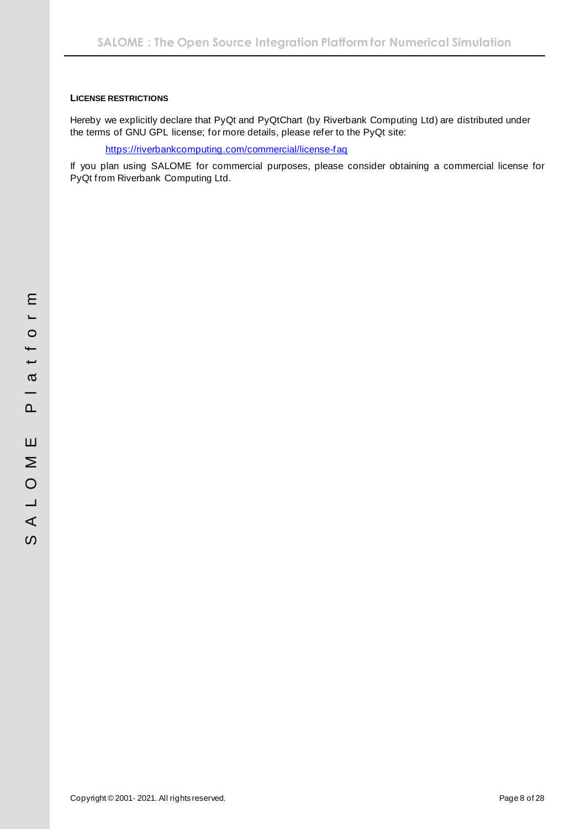### <span id="page-7-0"></span>**LICENSE RESTRICTIONS**

Hereby we explicitly declare that PyQt and PyQtChart (by Riverbank Computing Ltd) are distributed under the terms of GNU GPL license; for more details, please refer to the PyQt site:

<https://riverbankcomputing.com/commercial/license-faq>

If you plan using SALOME for commercial purposes, please consider obtaining a commercial license for PyQt from Riverbank Computing Ltd.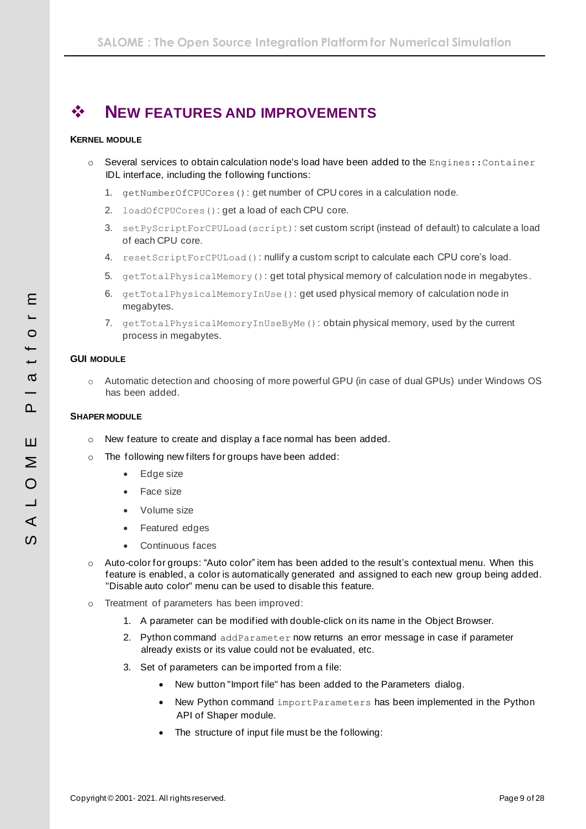# <span id="page-8-0"></span>❖ **NEW FEATURES AND IMPROVEMENTS**

### <span id="page-8-1"></span>**KERNEL MODULE**

- $\circ$  Several services to obtain calculation node's load have been added to the Engines:: Container IDL interface, including the following functions:
	- 1. getNumberOfCPUCores(): get number of CPU cores in a calculation node.
	- 2. loadOfCPUCores(): get a load of each CPU core.
	- 3. setPyScriptForCPULoad(script): set custom script (instead of default) to calculate a load of each CPU core.
	- 4. resetScriptForCPULoad(): nullify a custom script to calculate each CPU core's load.
	- 5. getTotalPhysicalMemory(): get total physical memory of calculation node in megabytes.
	- 6. getTotalPhysicalMemoryInUse(): get used physical memory of calculation node in megabytes.
	- 7. getTotalPhysicalMemoryInUseByMe(): obtain physical memory, used by the current process in megabytes.

### <span id="page-8-2"></span>**GUI MODULE**

o Automatic detection and choosing of more powerful GPU (in case of dual GPUs) under Windows OS has been added.

### <span id="page-8-3"></span>**SHAPER MODULE**

- o New feature to create and display a face normal has been added.
- o The following new filters for groups have been added:
	- Edge size
	- Face size
	- Volume size
	- Featured edges
	- Continuous faces
- o Auto-color for groups: "Auto color" item has been added to the result's contextual menu. When this feature is enabled, a color is automatically generated and assigned to each new group being added. "Disable auto color" menu can be used to disable this feature.
- o Treatment of parameters has been improved:
	- 1. A parameter can be modified with double-click on its name in the Object Browser.
	- 2. Python command addParameter now returns an error message in case if parameter already exists or its value could not be evaluated, etc.
	- 3. Set of parameters can be imported from a file:
		- New button "Import file" has been added to the Parameters dialog.
		- New Python command importParameters has been implemented in the Python API of Shaper module.
		- The structure of input file must be the following: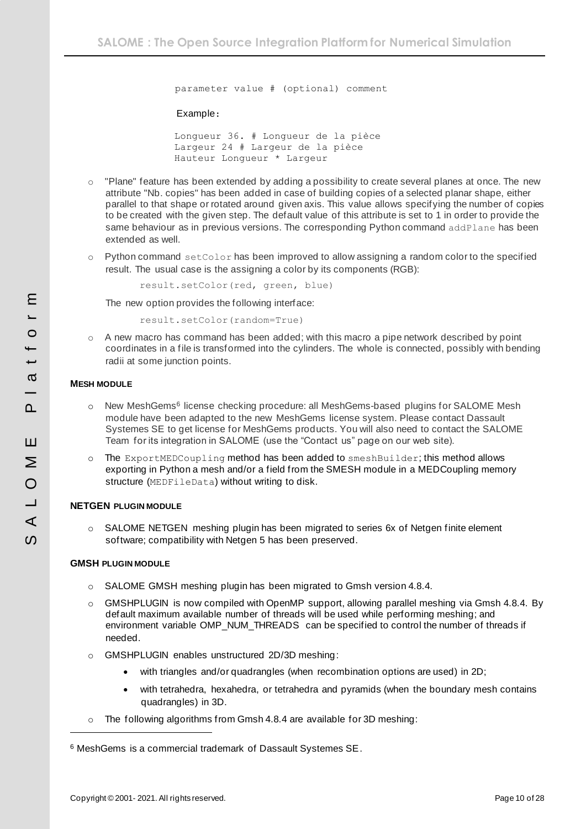parameter value # (optional) comment

#### Example:

Longueur 36. # Longueur de la pièce Largeur 24 # Largeur de la pièce Hauteur Longueur \* Largeur

- o "Plane" feature has been extended by adding a possibility to create several planes at once. The new attribute "Nb. copies" has been added in case of building copies of a selected planar shape, either parallel to that shape or rotated around given axis. This value allows specifying the number of copies to be created with the given step. The default value of this attribute is set to 1 in order to provide the same behaviour as in previous versions. The corresponding Python command addPlane has been extended as well.
- $\circ$  Python command set Color has been improved to allow assigning a random color to the specified result. The usual case is the assigning a color by its components (RGB):

result.setColor(red, green, blue)

The new option provides the following interface:

result.setColor(random=True)

 $\circ$  A new macro has command has been added; with this macro a pipe network described by point coordinates in a file is transformed into the cylinders. The whole is connected, possibly with bending radii at some junction points.

#### <span id="page-9-0"></span>**MESH MODULE**

- o New MeshGems<sup>6</sup> license checking procedure: all MeshGems-based plugins for SALOME Mesh module have been adapted to the new MeshGems license system. Please contact Dassault Systemes SE to get license for MeshGems products. You will also need to contact the SALOME Team for its integration in SALOME (use the "Contact us" page on our web site).
- o The ExportMEDCoupling method has been added to smeshBuilder; this method allows exporting in Python a mesh and/or a field from the SMESH module in a MEDCoupling memory structure (MEDFileData) without writing to disk.

#### <span id="page-9-1"></span>**NETGEN PLUGIN MODULE**

o SALOME NETGEN meshing plugin has been migrated to series 6x of Netgen finite element software; compatibility with Netgen 5 has been preserved.

#### <span id="page-9-2"></span>**GMSH PLUGIN MODULE**

- o SALOME GMSH meshing plugin has been migrated to Gmsh version 4.8.4.
- o GMSHPLUGIN is now compiled with OpenMP support, allowing parallel meshing via Gmsh 4.8.4. By default maximum available number of threads will be used while performing meshing; and environment variable OMP\_NUM\_THREADS can be specified to control the number of threads if needed.
- o GMSHPLUGIN enables unstructured 2D/3D meshing:
	- with triangles and/or quadrangles (when recombination options are used) in 2D;
	- with tetrahedra, hexahedra, or tetrahedra and pyramids (when the boundary mesh contains quadrangles) in 3D.
- o The following algorithms from Gmsh 4.8.4 are available for 3D meshing:

<sup>6</sup> MeshGems is a commercial trademark of Dassault Systemes SE.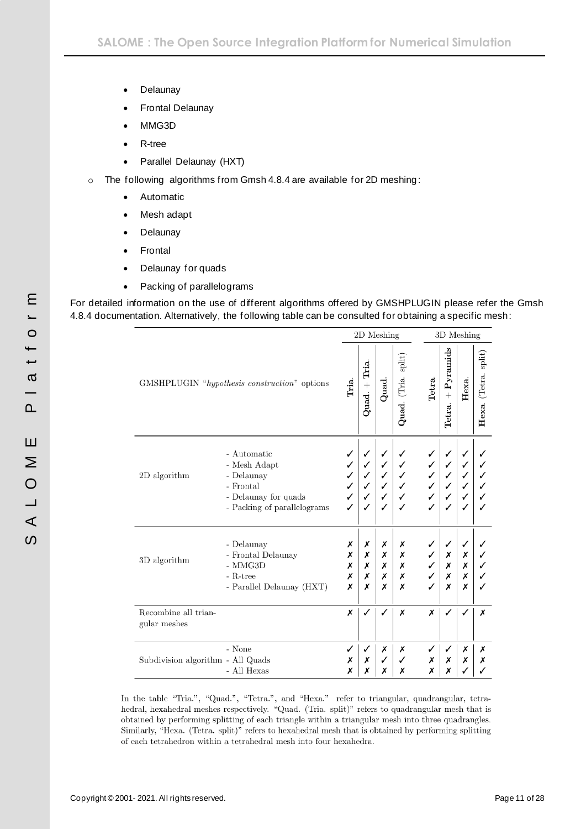- Delaunay
- Frontal Delaunay
- MMG3D
- R-tree
- Parallel Delaunay (HXT)
- o The following algorithms from Gmsh 4.8.4 are available for 2D meshing :
	- Automatic
	- Mesh adapt
	- Delaunay
	- Frontal
	- Delaunay for quads
	- Packing of parallelograms

For detailed information on the use of different algorithms offered by GMSHPLUGIN please refer the Gmsh 4.8.4 documentation. Alternatively, the following table can be consulted for obtaining a specific mesh:

|                                      |                                                                                                               |                       |                       | 2D Meshing                 |                       |        |                                 | 3D Meshing            |                      |
|--------------------------------------|---------------------------------------------------------------------------------------------------------------|-----------------------|-----------------------|----------------------------|-----------------------|--------|---------------------------------|-----------------------|----------------------|
|                                      | GMSHPLUGIN "hypothesis construction" options                                                                  | Tria.                 | $Quad. + Tria$        | Quad.                      | Quad. (Tria. split)   | Tetra. | $Pr and ss$<br>$^{+}$<br>Tetra. | Неха.                 | Hexa. (Tetra. split) |
| $2\mathrm{D}$ algorithm              | - Automatic<br>- Mesh Adapt<br>- Delaunay<br>- Frontal<br>- Delaunay for quads<br>- Packing of parallelograms |                       |                       | ✓<br>✓<br>✓<br>✓<br>✓<br>✓ |                       |        |                                 |                       |                      |
| 3D algorithm                         | - Delaunay<br>- Frontal Delaunay<br>$-$ MMG3D<br>- R-tree<br>- Parallel Delaunay (HXT)                        | Х<br>Х<br>Х<br>Х<br>x | Х<br>Х<br>Х<br>Х<br>Х | Х<br>Х<br>Х<br>Х<br>Х      | Х<br>Х<br>X<br>Х<br>Х |        | ✓<br>Х<br>Х<br>Х<br>Х           | ✓<br>Х<br>Х<br>Х<br>х |                      |
| Recombine all trian-<br>gular meshes |                                                                                                               | X                     |                       | ✓                          | Х                     | X      |                                 |                       | х                    |
| Subdivision algorithm - All Quads    | - None<br>- All Hexas                                                                                         | ✓<br>Х<br>Х           | √<br>Х<br>Х           | Х<br>✓<br>х                | Х<br>х                | Х<br>Х | Х<br>Х                          | Х<br>Х                | Х<br>х               |

In the table "Tria.", "Quad.", "Tetra.", and "Hexa." refer to triangular, quadrangular, tetrahedral, hexahedral meshes respectively. "Quad. (Tria. split)" refers to quadrangular mesh that is obtained by performing splitting of each triangle within a triangular mesh into three quadrangles. Similarly, "Hexa. (Tetra. split)" refers to hexahedral mesh that is obtained by performing splitting of each tetrahedron within a tetrahedral mesh into four hexahedra.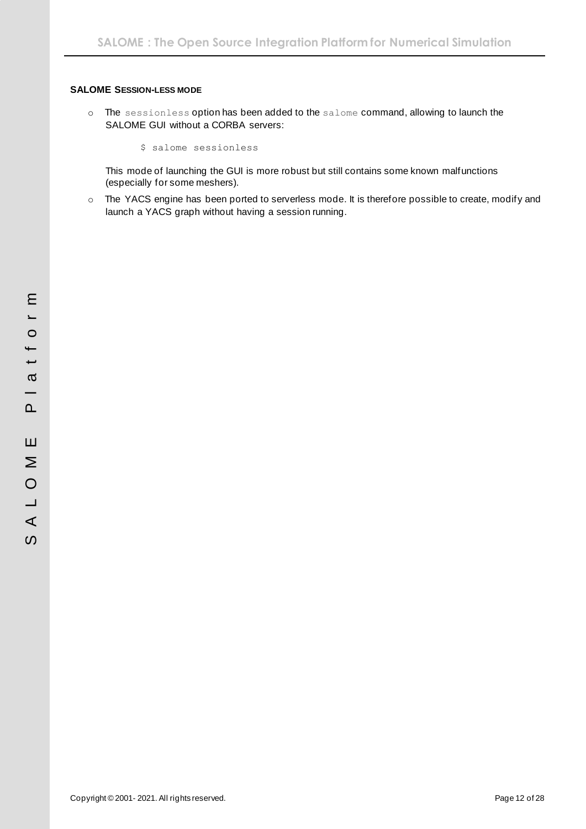#### <span id="page-11-0"></span>**SALOME SESSION-LESS MODE**

o The sessionless option has been added to the salome command, allowing to launch the SALOME GUI without a CORBA servers:

\$ salome sessionless

This mode of launching the GUI is more robust but still contains some known malfunctions (especially for some meshers).

o The YACS engine has been ported to serverless mode. It is therefore possible to create, modify and launch a YACS graph without having a session running.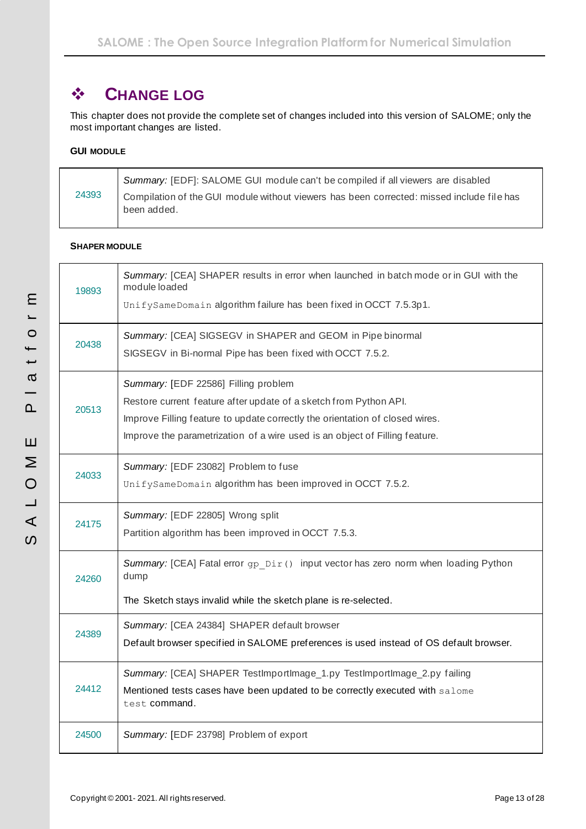# <span id="page-12-0"></span>❖ **CHANGE LOG**

This chapter does not provide the complete set of changes included into this version of SALOME; only the most important changes are listed.

### <span id="page-12-1"></span>**GUI MODULE**

|       | Summary: [EDF]: SALOME GUI module can't be compiled if all viewers are disabled                            |
|-------|------------------------------------------------------------------------------------------------------------|
| 24393 | I Compilation of the GUI module without viewers has been corrected: missed include file has<br>been added. |

### <span id="page-12-2"></span>**SHAPER MODULE**

| 19893 | Summary: [CEA] SHAPER results in error when launched in batch mode or in GUI with the<br>module loaded<br>UnifySameDomain algorithm failure has been fixed in OCCT 7.5.3p1.                                                                                              |
|-------|--------------------------------------------------------------------------------------------------------------------------------------------------------------------------------------------------------------------------------------------------------------------------|
| 20438 | Summary: [CEA] SIGSEGV in SHAPER and GEOM in Pipe binormal<br>SIGSEGV in Bi-normal Pipe has been fixed with OCCT 7.5.2.                                                                                                                                                  |
| 20513 | Summary: [EDF 22586] Filling problem<br>Restore current feature after update of a sketch from Python API.<br>Improve Filling feature to update correctly the orientation of closed wires.<br>Improve the parametrization of a wire used is an object of Filling feature. |
| 24033 | Summary: [EDF 23082] Problem to fuse<br>UnifySameDomain algorithm has been improved in OCCT 7.5.2.                                                                                                                                                                       |
| 24175 | Summary: [EDF 22805] Wrong split<br>Partition algorithm has been improved in OCCT 7.5.3.                                                                                                                                                                                 |
| 24260 | Summary: [CEA] Fatal error gp Dir() input vector has zero norm when loading Python<br>dump<br>The Sketch stays invalid while the sketch plane is re-selected.                                                                                                            |
| 24389 | Summary: [CEA 24384] SHAPER default browser<br>Default browser specified in SALOME preferences is used instead of OS default browser.                                                                                                                                    |
| 24412 | Summary: [CEA] SHAPER TestImportImage_1.py TestImportImage_2.py failing<br>Mentioned tests cases have been updated to be correctly executed with salome<br>test command.                                                                                                 |
| 24500 | Summary: [EDF 23798] Problem of export                                                                                                                                                                                                                                   |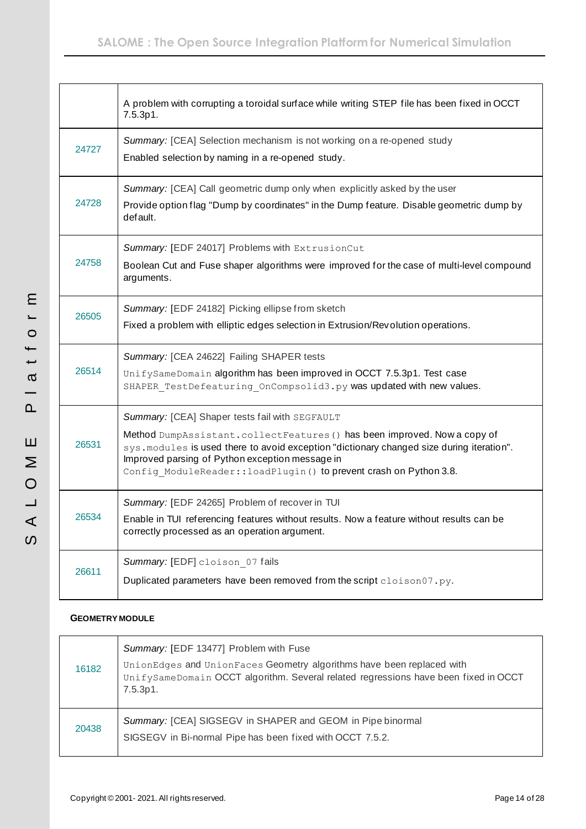|       | A problem with corrupting a toroidal surface while writing STEP file has been fixed in OCCT<br>7.5.3p1.                                                                                                                                                                                                                                         |
|-------|-------------------------------------------------------------------------------------------------------------------------------------------------------------------------------------------------------------------------------------------------------------------------------------------------------------------------------------------------|
| 24727 | Summary: [CEA] Selection mechanism is not working on a re-opened study<br>Enabled selection by naming in a re-opened study.                                                                                                                                                                                                                     |
| 24728 | Summary: [CEA] Call geometric dump only when explicitly asked by the user<br>Provide option flag "Dump by coordinates" in the Dump feature. Disable geometric dump by<br>default.                                                                                                                                                               |
| 24758 | Summary: [EDF 24017] Problems with ExtrusionCut<br>Boolean Cut and Fuse shaper algorithms were improved for the case of multi-level compound<br>arguments.                                                                                                                                                                                      |
| 26505 | Summary: [EDF 24182] Picking ellipse from sketch<br>Fixed a problem with elliptic edges selection in Extrusion/Revolution operations.                                                                                                                                                                                                           |
| 26514 | Summary: [CEA 24622] Failing SHAPER tests<br>UnifySameDomain algorithm has been improved in OCCT 7.5.3p1. Test case<br>SHAPER TestDefeaturing OnCompsolid3.py was updated with new values.                                                                                                                                                      |
| 26531 | Summary: [CEA] Shaper tests fail with SEGFAULT<br>Method DumpAssistant.collectFeatures () has been improved. Now a copy of<br>sys. modules is used there to avoid exception "dictionary changed size during iteration".<br>Improved parsing of Python exception message in<br>Config_ModuleReader::loadPlugin() to prevent crash on Python 3.8. |
| 26534 | Summary: [EDF 24265] Problem of recover in TUI<br>Enable in TUI referencing features without results. Now a feature without results can be<br>correctly processed as an operation argument.                                                                                                                                                     |
| 26611 | Summary: [EDF] cloison 07 fails<br>Duplicated parameters have been removed from the script cloison07.py.                                                                                                                                                                                                                                        |

### <span id="page-13-0"></span>**GEOMETRY MODULE**

| 16182 | Summary: [EDF 13477] Problem with Fuse<br>UnionEdges and UnionFaces Geometry algorithms have been replaced with<br>UnifySameDomain OCCT algorithm. Several related regressions have been fixed in OCCT<br>7.5.3p1. |
|-------|--------------------------------------------------------------------------------------------------------------------------------------------------------------------------------------------------------------------|
| 20438 | Summary: [CEA] SIGSEGV in SHAPER and GEOM in Pipe binormal<br>SIGSEGV in Bi-normal Pipe has been fixed with OCCT 7.5.2.                                                                                            |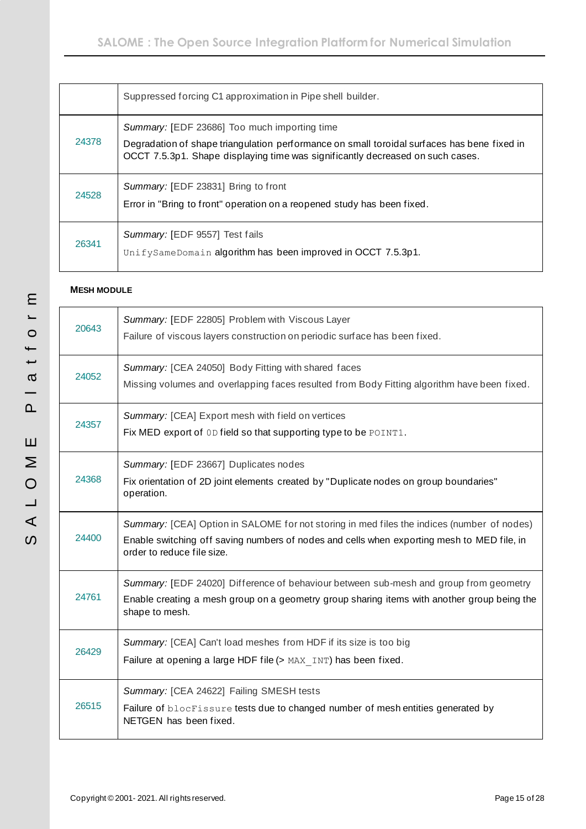|       | Suppressed forcing C1 approximation in Pipe shell builder.                                                                                                                                                                    |
|-------|-------------------------------------------------------------------------------------------------------------------------------------------------------------------------------------------------------------------------------|
| 24378 | Summary: [EDF 23686] Too much importing time<br>Degradation of shape triangulation performance on small toroidal surfaces has bene fixed in<br>OCCT 7.5.3p1. Shape displaying time was significantly decreased on such cases. |
| 24528 | Summary: [EDF 23831] Bring to front<br>Error in "Bring to front" operation on a reopened study has been fixed.                                                                                                                |
| 26341 | Summary: [EDF 9557] Test fails<br>UnifySameDomain algorithm has been improved in OCCT 7.5.3p1.                                                                                                                                |

# <span id="page-14-0"></span>**MESH MODULE**

| 20643 | Summary: [EDF 22805] Problem with Viscous Layer<br>Failure of viscous layers construction on periodic surface has been fixed.                                                                                          |
|-------|------------------------------------------------------------------------------------------------------------------------------------------------------------------------------------------------------------------------|
| 24052 | Summary: [CEA 24050] Body Fitting with shared faces<br>Missing volumes and overlapping faces resulted from Body Fitting algorithm have been fixed.                                                                     |
| 24357 | Summary: [CEA] Export mesh with field on vertices<br>Fix MED export of 0D field so that supporting type to be POINT1.                                                                                                  |
| 24368 | Summary: [EDF 23667] Duplicates nodes<br>Fix orientation of 2D joint elements created by "Duplicate nodes on group boundaries"<br>operation.                                                                           |
| 24400 | Summary: [CEA] Option in SALOME for not storing in med files the indices (number of nodes)<br>Enable switching off saving numbers of nodes and cells when exporting mesh to MED file, in<br>order to reduce file size. |
| 24761 | Summary: [EDF 24020] Difference of behaviour between sub-mesh and group from geometry<br>Enable creating a mesh group on a geometry group sharing items with another group being the<br>shape to mesh.                 |
| 26429 | Summary: [CEA] Can't load meshes from HDF if its size is too big<br>Failure at opening a large HDF file (> MAX INT) has been fixed.                                                                                    |
| 26515 | Summary: [CEA 24622] Failing SMESH tests<br>Failure of blocFissure tests due to changed number of mesh entities generated by<br>NETGEN has been fixed.                                                                 |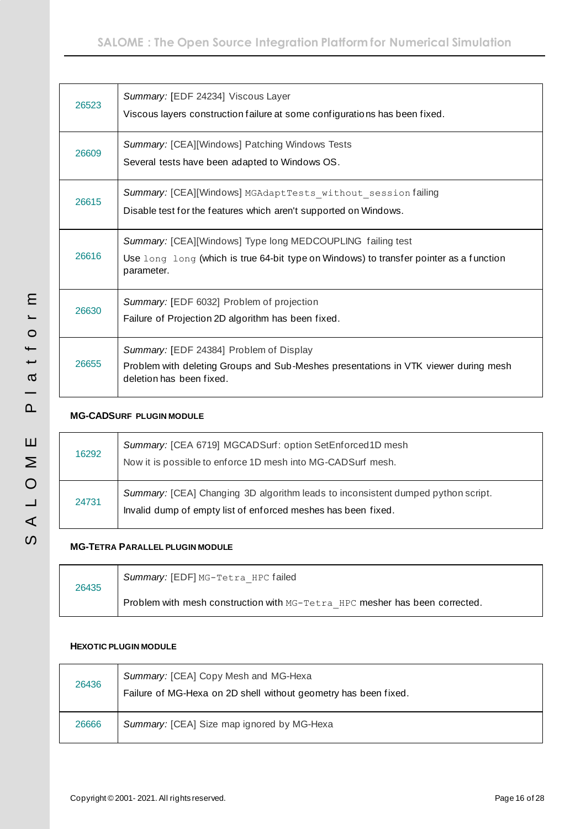| 26523 | Summary: [EDF 24234] Viscous Layer<br>Viscous layers construction failure at some configurations has been fixed.                                                   |
|-------|--------------------------------------------------------------------------------------------------------------------------------------------------------------------|
| 26609 | Summary: [CEA][Windows] Patching Windows Tests<br>Several tests have been adapted to Windows OS.                                                                   |
| 26615 | Summary: [CEA][Windows] MGAdaptTests without session failing<br>Disable test for the features which aren't supported on Windows.                                   |
| 26616 | Summary: [CEA][Windows] Type long MEDCOUPLING failing test<br>Use long long (which is true 64-bit type on Windows) to transfer pointer as a function<br>parameter. |
| 26630 | Summary: [EDF 6032] Problem of projection<br>Failure of Projection 2D algorithm has been fixed.                                                                    |
| 26655 | Summary: [EDF 24384] Problem of Display<br>Problem with deleting Groups and Sub-Meshes presentations in VTK viewer during mesh<br>deletion has been fixed.         |

# <span id="page-15-0"></span>**MG-CADSURF PLUGIN MODULE**

| 16292 | Summary: [CEA 6719] MGCADSurf: option SetEnforced1D mesh<br>Now it is possible to enforce 1D mesh into MG-CADSurf mesh.                           |
|-------|---------------------------------------------------------------------------------------------------------------------------------------------------|
| 24731 | Summary: [CEA] Changing 3D algorithm leads to inconsistent dumped python script.<br>Invalid dump of empty list of enforced meshes has been fixed. |

# <span id="page-15-1"></span>**MG-TETRA PARALLEL PLUGIN MODULE**

| 26435 | Summary: [EDF] MG-Tetra HPC failed                                          |
|-------|-----------------------------------------------------------------------------|
|       | Problem with mesh construction with MG-Tetra HPC mesher has been corrected. |

### <span id="page-15-2"></span>**HEXOTIC PLUGIN MODULE**

| 26436 | Summary: [CEA] Copy Mesh and MG-Hexa<br>Failure of MG-Hexa on 2D shell without geometry has been fixed. |
|-------|---------------------------------------------------------------------------------------------------------|
| 26666 | Summary: [CEA] Size map ignored by MG-Hexa                                                              |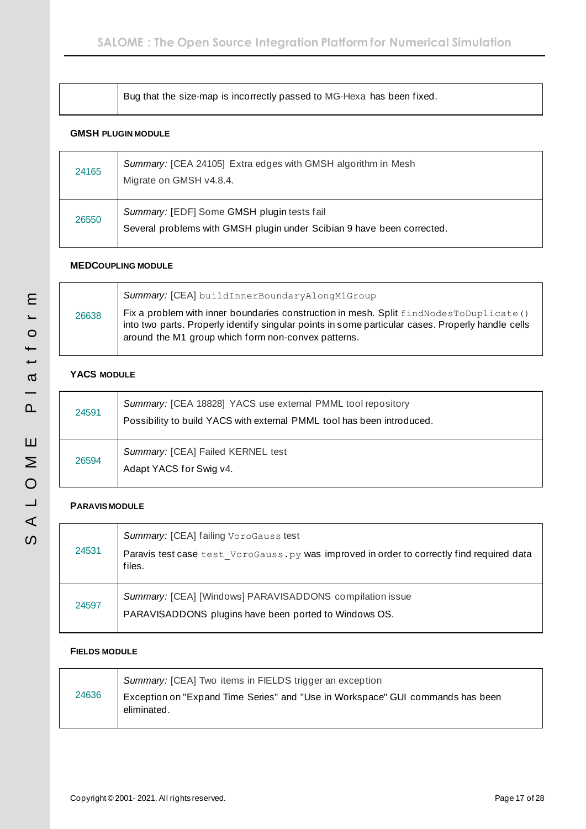| Bug that the size-map is incorrectly passed to MG-Hexa has been fixed. |
|------------------------------------------------------------------------|
|                                                                        |

### <span id="page-16-0"></span>**GMSH PLUGIN MODULE**

| 24165 | Summary: [CEA 24105] Extra edges with GMSH algorithm in Mesh<br>Migrate on GMSH v4.8.4.                              |
|-------|----------------------------------------------------------------------------------------------------------------------|
| 26550 | Summary: [EDF] Some GMSH plugin tests fail<br>Several problems with GMSH plugin under Scibian 9 have been corrected. |

### <span id="page-16-1"></span>**MEDCOUPLING MODULE**

|       | Summary: [CEA] buildInnerBoundaryAlongM1Group                                                                                                                                                                                                       |
|-------|-----------------------------------------------------------------------------------------------------------------------------------------------------------------------------------------------------------------------------------------------------|
| 26638 | Fix a problem with inner boundaries construction in mesh. Split findNodesToDuplicate ()<br>into two parts. Properly identify singular points in some particular cases. Properly handle cells<br>around the M1 group which form non-convex patterns. |

### <span id="page-16-2"></span>**YACS MODULE**

| 24591 | Summary: [CEA 18828] YACS use external PMML tool repository<br>Possibility to build YACS with external PMML tool has been introduced. |
|-------|---------------------------------------------------------------------------------------------------------------------------------------|
| 26594 | Summary: [CEA] Failed KERNEL test<br>Adapt YACS for Swig v4.                                                                          |

### <span id="page-16-3"></span>**PARAVIS MODULE**

| 24531 | Summary: [CEA] failing VoroGauss test<br>Paravis test case test VoroGauss.py was improved in order to correctly find required data<br>files. |
|-------|----------------------------------------------------------------------------------------------------------------------------------------------|
| 24597 | Summary: [CEA] [Windows] PARAVISADDONS compilation issue<br>PARAVISADDONS plugins have been ported to Windows OS.                            |

### <span id="page-16-4"></span>**FIELDS MODULE**

|       | Summary: [CEA] Two items in FIELDS trigger an exception                                       |
|-------|-----------------------------------------------------------------------------------------------|
| 24636 | Exception on "Expand Time Series" and "Use in Workspace" GUI commands has been<br>eliminated. |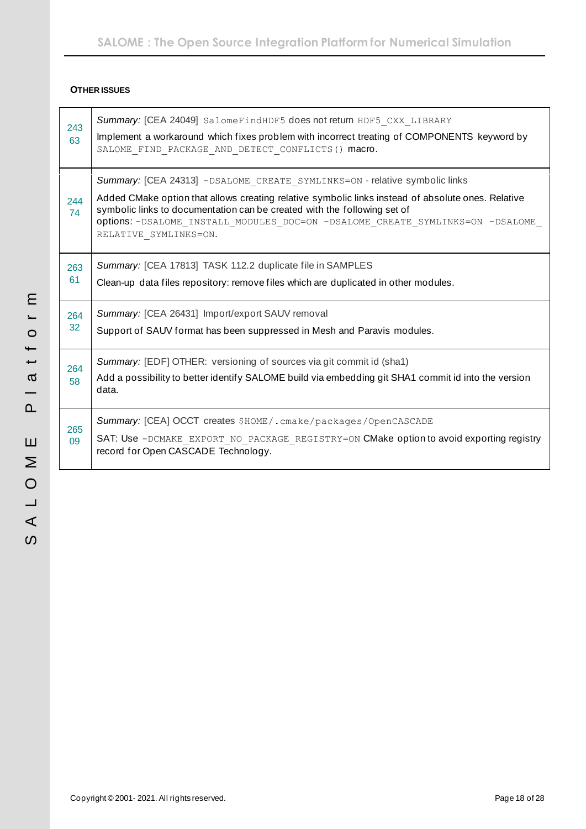### <span id="page-17-0"></span>**OTHER ISSUES**

| 243<br>63               | Summary: [CEA 24049] SalomeFindHDF5 does not return HDF5 CXX LIBRARY<br>Implement a workaround which fixes problem with incorrect treating of COMPONENTS keyword by<br>SALOME_FIND_PACKAGE_AND_DETECT CONFLICTS () macro.                                                                                                                                                  |
|-------------------------|----------------------------------------------------------------------------------------------------------------------------------------------------------------------------------------------------------------------------------------------------------------------------------------------------------------------------------------------------------------------------|
| 244<br>74               | Summary: [CEA 24313] - DSALOME CREATE SYMLINKS=ON - relative symbolic links<br>Added CMake option that allows creating relative symbolic links instead of absolute ones. Relative<br>symbolic links to documentation can be created with the following set of<br>Options: - DSALOME INSTALL MODULES DOC=ON - DSALOME CREATE SYMLINKS=ON - DSALOME<br>RELATIVE SYMLINKS=ON. |
| 263<br>61               | Summary: [CEA 17813] TASK 112.2 duplicate file in SAMPLES<br>Clean-up data files repository: remove files which are duplicated in other modules.                                                                                                                                                                                                                           |
| 264<br>32               | Summary: [CEA 26431] Import/export SAUV removal<br>Support of SAUV format has been suppressed in Mesh and Paravis modules.                                                                                                                                                                                                                                                 |
| 264<br>58               | Summary: [EDF] OTHER: versioning of sources via git commit id (sha1)<br>Add a possibility to better identify SALOME build via embedding git SHA1 commit id into the version<br>data.                                                                                                                                                                                       |
| 265<br>0.9 <sup>°</sup> | Summary: [CEA] OCCT creates \$HOME/. cmake/packages/OpenCASCADE<br>SAT: Use -DCMAKE EXPORT NO PACKAGE REGISTRY=ON CMake option to avoid exporting registry<br>record for Open CASCADE Technology.                                                                                                                                                                          |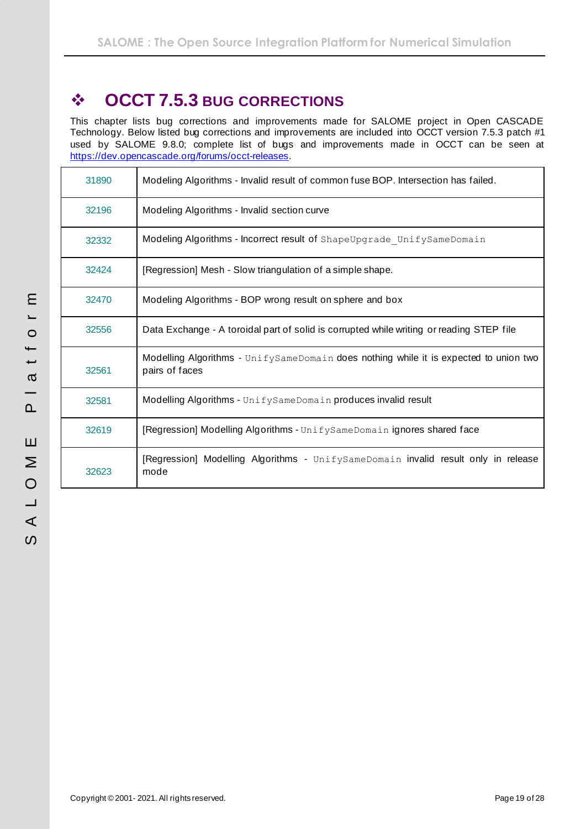# <span id="page-18-0"></span>❖ **OCCT 7.5.3 BUG CORRECTIONS**

This chapter lists bug corrections and improvements made for SALOME project in Open CASCADE Technology. Below listed bug corrections and improvements are included into OCCT version 7.5.3 patch #1 used by SALOME 9.8.0; complete list of bugs and improvements made in OCCT can be seen at [https://dev.opencascade.org/forums/occt-releases.](https://dev.opencascade.org/forums/occt-releases)

| 31890 | Modeling Algorithms - Invalid result of common fuse BOP. Intersection has failed.                       |
|-------|---------------------------------------------------------------------------------------------------------|
| 32196 | Modeling Algorithms - Invalid section curve                                                             |
| 32332 | Modeling Algorithms - Incorrect result of ShapeUpgrade UnifySameDomain                                  |
| 32424 | [Regression] Mesh - Slow triangulation of a simple shape.                                               |
| 32470 | Modeling Algorithms - BOP wrong result on sphere and box                                                |
| 32556 | Data Exchange - A toroidal part of solid is corrupted while writing or reading STEP file                |
| 32561 | Modelling Algorithms - UnifySameDomain does nothing while it is expected to union two<br>pairs of faces |
| 32581 | Modelling Algorithms - UnifySameDomain produces invalid result                                          |
| 32619 | [Regression] Modelling Algorithms - UnifySameDomain ignores shared face                                 |
| 32623 | [Regression] Modelling Algorithms - UnifySameDomain invalid result only in release<br>mode              |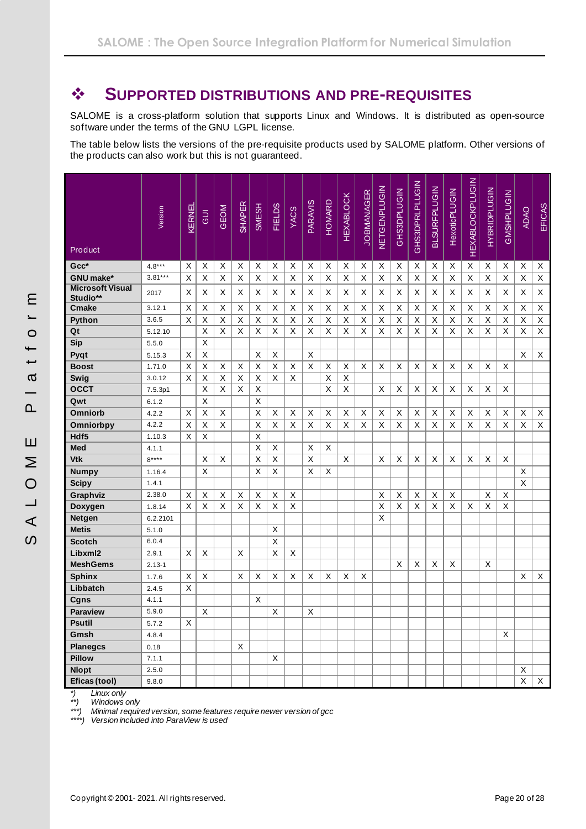# <span id="page-19-0"></span>❖ **SUPPORTED DISTRIBUTIONS AND PRE-REQUISITES**

SALOME is a cross-platform solution that supports Linux and Windows. It is distributed as open-source software under the terms of the GNU LGPL license.

The table below lists the versions of the pre-requisite products used by SALOME platform. Other versions of the products can also work but this is not guaranteed.

| Product                             | Version    | KERNEL | <b>UD</b> | <b>GEOM</b> | <b>SHAPER</b> | SMESH | <b>FIELDS</b> | <b>YACS</b> | PARAVIS | HOMARD | <b>HEXABLOCK</b> | <b>JOBMANAGER</b> | NETGENPLUGIN | GHS3DPLUGIN | <b>GHS3DPRLPLUGIN</b> | <b>BLSURFPLUGIN</b> | <b>HexoticPLUGIN</b> | <b>HEXABLOCKPLUGIN</b> | <b>HYBRIDPLUGIN</b> | GMSHPLUGIN  | <b>ADAO</b> | EFICAS |
|-------------------------------------|------------|--------|-----------|-------------|---------------|-------|---------------|-------------|---------|--------|------------------|-------------------|--------------|-------------|-----------------------|---------------------|----------------------|------------------------|---------------------|-------------|-------------|--------|
| $Gcc*$                              | $4.8***$   | X      | X         | X           | X             | Χ     | X             | Х           | Χ       | X      | X                | X                 | X            | X           | X                     | X                   | X                    | X                      | X                   | Х           | X           | X      |
| GNU make*                           | $3.81***$  | X      | X         | X           | X             | X     | X             | X           | X       | X      | X                | X                 | X            | X           | X                     | X                   | X                    | X                      | X                   | X           | X           | X      |
| <b>Microsoft Visual</b><br>Studio** | 2017       | X      | X         | X           | X             | X     | X             | X           | X       | Χ      | Х                | X                 | X            | X           | X                     | X                   | Х                    | X                      | X                   | X           | X           | X      |
| <b>Cmake</b>                        | 3.12.1     | X      | X         | X           | X             | X     | X             | X           | X       | X      | X                | X                 | X            | X           | X                     | X                   | X                    | X                      | X                   | X           | X           | X      |
| Python                              | 3.6.5      | X      | X         | X           | X             | X     | X             | X           | Χ       | X      | X                | X                 | $\mathsf X$  | X           | X                     | X                   | $\sf X$              | X                      | X                   | Χ           | X           | X      |
| Qt                                  | 5.12.10    |        | X         | X           | X             | Χ     | X             | X           | X       | X      | X                | X                 | X            | X           | X                     | X                   | X                    | X                      | X                   | $\mathsf X$ | X           | X      |
| <b>Sip</b>                          | 5.5.0      |        | X         |             |               |       |               |             |         |        |                  |                   |              |             |                       |                     |                      |                        |                     |             |             |        |
| Pyqt                                | 5.15.3     | Х      | $\sf X$   |             |               | X     | X             |             | X       |        |                  |                   |              |             |                       |                     |                      |                        |                     |             | X           | X      |
| <b>Boost</b>                        | 1.71.0     | X      | X         | X           | X             | X     | X             | X           | X       | X      | X                | X                 | X            | X           | X                     | X                   | X                    | X                      | X                   | X           |             |        |
| Swig                                | 3.0.12     | X      | X         | X           | Χ             | Χ     | X             | X           |         | Χ      | X                |                   |              |             |                       |                     |                      |                        |                     |             |             |        |
| <b>OCCT</b>                         | 7.5.3p1    |        | X         | X           | X             | X     |               |             |         | X      | X                |                   | X            | X           | X                     | X                   | X                    | X                      | X                   | Χ           |             |        |
| Qwt                                 | 6.1.2      |        | X         |             |               | X     |               |             |         |        |                  |                   |              |             |                       |                     |                      |                        |                     |             |             |        |
| <b>Omniorb</b>                      | 4.2.2      | Х      | X         | X           |               | X     | X             | X           | X       | X      | X                | X                 | X            | X           | Χ                     | X                   | X                    | X                      | Х                   | Х           | X           | X      |
| Omniorbpy                           | 4.2.2      | X      | X         | X           |               | X     | X             | X           | X       | X      | X                | X                 | X            | X           | X                     | X                   | X                    | X                      | X                   | X           | X           | X      |
| Hdf5                                | 1.10.3     | X      | X         |             |               | X     |               |             |         |        |                  |                   |              |             |                       |                     |                      |                        |                     |             |             |        |
| <b>Med</b>                          | 4.1.1      |        |           |             |               | Χ     | X             |             | X       | X      |                  |                   |              |             |                       |                     |                      |                        |                     |             |             |        |
| <b>Vtk</b>                          | $8***$     |        | X         | X           |               | Χ     | X             |             | Χ       |        | X                |                   | X            | X           | X                     | X                   | X                    | X                      | X                   | X           |             |        |
| <b>Numpy</b>                        | 1.16.4     |        | X         |             |               | X     | X             |             | Χ       | X      |                  |                   |              |             |                       |                     |                      |                        |                     |             | X           |        |
| <b>Scipy</b>                        | 1.4.1      |        |           |             |               |       |               |             |         |        |                  |                   |              |             |                       |                     |                      |                        |                     |             | $\mathsf X$ |        |
| Graphviz                            | 2.38.0     | Х      | X         | X           | Χ             | Χ     | X             | X           |         |        |                  |                   | X            | X           | X                     | X                   | X                    |                        | X                   | X           |             |        |
| Doxygen                             | 1.8.14     | X      | X         | X           | X             | X     | X             | X           |         |        |                  |                   | X            | X           | X                     | X                   | X                    | X                      | X                   | X           |             |        |
| <b>Netgen</b>                       | 6.2.2101   |        |           |             |               |       |               |             |         |        |                  |                   | X            |             |                       |                     |                      |                        |                     |             |             |        |
| <b>Metis</b>                        | 5.1.0      |        |           |             |               |       | X             |             |         |        |                  |                   |              |             |                       |                     |                      |                        |                     |             |             |        |
| <b>Scotch</b>                       | 6.0.4      |        |           |             |               |       | X             |             |         |        |                  |                   |              |             |                       |                     |                      |                        |                     |             |             |        |
| Libxml2                             | 2.9.1      | X      | X         |             | X             |       | X             | X           |         |        |                  |                   |              |             |                       |                     |                      |                        |                     |             |             |        |
| <b>MeshGems</b>                     | $2.13 - 1$ |        |           |             |               |       |               |             |         |        |                  |                   |              | X           | X                     | X                   | X                    |                        | X                   |             |             |        |
| <b>Sphinx</b>                       | 1.7.6      | Х      | X         |             | Χ             | Χ     | X             | X           | X       | X      | X                | X                 |              |             |                       |                     |                      |                        |                     |             | X           | X      |
| Libbatch                            | 2.4.5      | X      |           |             |               |       |               |             |         |        |                  |                   |              |             |                       |                     |                      |                        |                     |             |             |        |
| Cgns                                | 4.1.1      |        |           |             |               | X     |               |             |         |        |                  |                   |              |             |                       |                     |                      |                        |                     |             |             |        |
| <b>Paraview</b>                     | 5.9.0      |        | X         |             |               |       | X             |             | X       |        |                  |                   |              |             |                       |                     |                      |                        |                     |             |             |        |
| <b>Psutil</b>                       | 5.7.2      | X      |           |             |               |       |               |             |         |        |                  |                   |              |             |                       |                     |                      |                        |                     |             |             |        |
| Gmsh                                | 4.8.4      |        |           |             |               |       |               |             |         |        |                  |                   |              |             |                       |                     |                      |                        |                     | X           |             |        |
| <b>Planegcs</b>                     | 0.18       |        |           |             | X             |       |               |             |         |        |                  |                   |              |             |                       |                     |                      |                        |                     |             |             |        |
| <b>Pillow</b>                       | 7.1.1      |        |           |             |               |       | X             |             |         |        |                  |                   |              |             |                       |                     |                      |                        |                     |             |             |        |
| <b>Nlopt</b>                        | 2.5.0      |        |           |             |               |       |               |             |         |        |                  |                   |              |             |                       |                     |                      |                        |                     |             | X           |        |
| Eficas (tool)                       | 9.8.0      |        |           |             |               |       |               |             |         |        |                  |                   |              |             |                       |                     |                      |                        |                     |             | $\mathsf X$ | X      |

*\*) Linux only \*\*) Windows only*

*\*\*\*) Minimal required version, some features require newer version of gcc*

*\*\*\*\*) Version included into ParaView is used*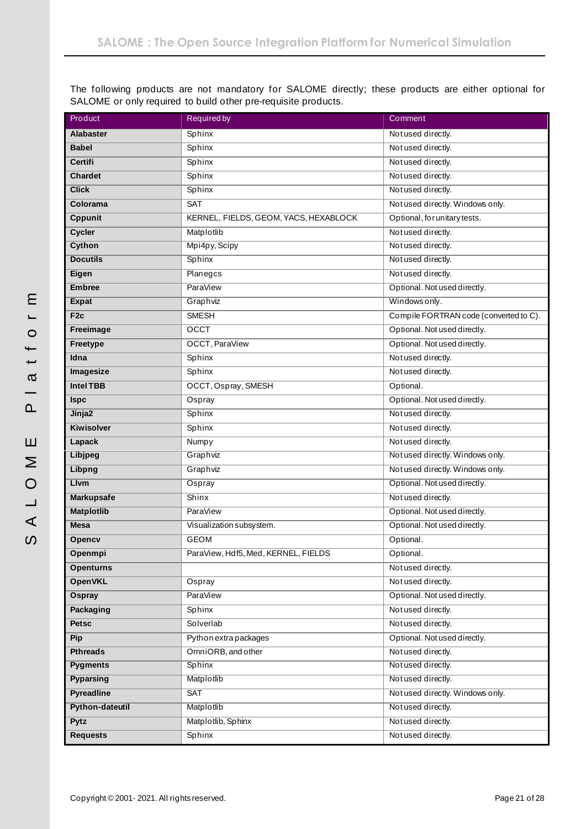The following products are not mandatory for SALOME directly; these products are either optional for SALOME or only required to build other pre-requisite products.

| Product           | <b>Required by</b>                    | Comment                                |  |  |  |  |  |
|-------------------|---------------------------------------|----------------------------------------|--|--|--|--|--|
| <b>Alabaster</b>  | Sphinx                                | Not used directly.                     |  |  |  |  |  |
| <b>Babel</b>      | Sphinx                                | Not used directly.                     |  |  |  |  |  |
| Certifi           | Sphinx                                | Not used directly.                     |  |  |  |  |  |
| <b>Chardet</b>    | Sphinx                                | Not used directly.                     |  |  |  |  |  |
| <b>Click</b>      | Sphinx                                | Not used directly.                     |  |  |  |  |  |
| Colorama          | SAT                                   | Not used directly. Windows only.       |  |  |  |  |  |
| <b>Cppunit</b>    | KERNEL, FIELDS, GEOM, YACS, HEXABLOCK | Optional, for unitary tests.           |  |  |  |  |  |
| Cycler            | Matplotlib                            | Not used directly.                     |  |  |  |  |  |
| <b>Cython</b>     | Mpi4py, Scipy                         | Not used directly.                     |  |  |  |  |  |
| <b>Docutils</b>   | Sphinx                                | Not used directly.                     |  |  |  |  |  |
| Eigen             | Planegcs                              | Not used directly.                     |  |  |  |  |  |
| <b>Embree</b>     | <b>ParaView</b>                       | Optional. Not used directly.           |  |  |  |  |  |
| <b>Expat</b>      | Graphviz                              | Windows only.                          |  |  |  |  |  |
| F <sub>2c</sub>   | <b>SMESH</b>                          | Compile FORTRAN code (converted to C). |  |  |  |  |  |
| Freeimage         | OCCT                                  | Optional. Not used directly.           |  |  |  |  |  |
| Freetype          | OCCT, ParaView                        | Optional. Not used directly.           |  |  |  |  |  |
| Idna              | Sphinx                                | Not used directly.                     |  |  |  |  |  |
| Imagesize         | Sphinx                                | Not used directly.                     |  |  |  |  |  |
| <b>Intel TBB</b>  | OCCT, Ospray, SMESH                   | Optional.                              |  |  |  |  |  |
| <b>Ispc</b>       | Ospray                                | Optional. Not used directly.           |  |  |  |  |  |
| Jinja2            | Sphinx                                | Not used directly.                     |  |  |  |  |  |
| Kiwisolver        | Sphinx                                | Not used directly.                     |  |  |  |  |  |
| Lapack            | Numpy                                 | Not used directly.                     |  |  |  |  |  |
| <b>Libjpeg</b>    | Graphviz                              | Not used directly. Windows only.       |  |  |  |  |  |
| Libpng            | Graphviz                              | Not used directly. Windows only.       |  |  |  |  |  |
| <b>Livm</b>       | Ospray                                | Optional. Not used directly.           |  |  |  |  |  |
| <b>Markupsafe</b> | $\overline{\text{Shinx}}$             | Not used directly.                     |  |  |  |  |  |
| <b>Matplotlib</b> | <b>ParaView</b>                       | Optional. Not used directly.           |  |  |  |  |  |
| <b>Mesa</b>       | Visualization subsystem.              | Optional. Not used directly.           |  |  |  |  |  |
| Opencv            | <b>GEOM</b>                           | Optional.                              |  |  |  |  |  |
| Openmpi           | ParaView, Hdf5, Med, KERNEL, FIELDS   | Optional.                              |  |  |  |  |  |
| <b>Openturns</b>  |                                       | Not used directly.                     |  |  |  |  |  |
| <b>OpenVKL</b>    | Ospray                                | Not used directly.                     |  |  |  |  |  |
| Ospray            | ParaView                              | Optional. Not used directly.           |  |  |  |  |  |
| Packaging         | Sphinx                                | Not used directly.                     |  |  |  |  |  |
| <b>Petsc</b>      | Solverlab                             | Not used directly.                     |  |  |  |  |  |
| Pip               | Python extra packages                 | Optional. Not used directly.           |  |  |  |  |  |
| <b>Pthreads</b>   | OmniORB, and other                    | Not used directly.                     |  |  |  |  |  |
| <b>Pygments</b>   | Sphinx                                | Not used directly.                     |  |  |  |  |  |
| <b>Pyparsing</b>  | Matplotlib                            | Not used directly.                     |  |  |  |  |  |
| <b>Pyreadline</b> | <b>SAT</b>                            | Not used directly. Windows only.       |  |  |  |  |  |
| Python-dateutil   | Matplotlib                            | Not used directly.                     |  |  |  |  |  |
| Pytz              | Matplotlib, Sphinx                    | Not used directly.                     |  |  |  |  |  |
| <b>Requests</b>   | Sphinx                                | Not used directly.                     |  |  |  |  |  |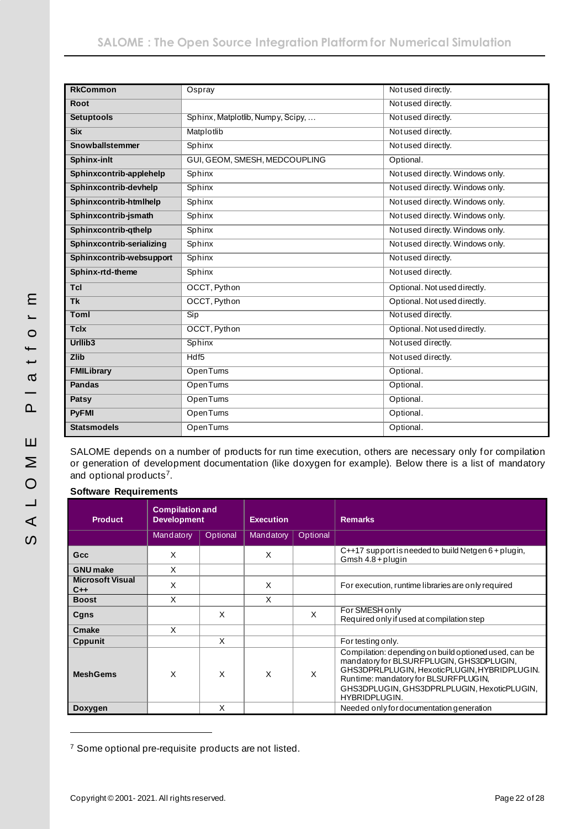| <b>RkCommon</b>           | Ospray                            | Not used directly.               |  |  |  |  |
|---------------------------|-----------------------------------|----------------------------------|--|--|--|--|
| <b>Root</b>               |                                   | Not used directly.               |  |  |  |  |
| <b>Setuptools</b>         | Sphinx, Matplotlib, Numpy, Scipy, | Not used directly.               |  |  |  |  |
| <b>Six</b>                | Matplotlib                        | Not used directly.               |  |  |  |  |
| Snowballstemmer           | Sphinx                            | Not used directly.               |  |  |  |  |
| <b>Sphinx-inlt</b>        | GUI, GEOM, SMESH, MEDCOUPLING     | Optional.                        |  |  |  |  |
| Sphinxcontrib-applehelp   | Sphinx                            | Not used directly. Windows only. |  |  |  |  |
| Sphinxcontrib-devhelp     | Sphinx                            | Not used directly. Windows only. |  |  |  |  |
| Sphinxcontrib-htmlhelp    | Sphinx                            | Not used directly. Windows only. |  |  |  |  |
| Sphinxcontrib-jsmath      | Sphinx                            | Not used directly. Windows only. |  |  |  |  |
| Sphinxcontrib-qthelp      | Sphinx                            | Not used directly. Windows only. |  |  |  |  |
| Sphinxcontrib-serializing | Sphinx                            | Not used directly. Windows only. |  |  |  |  |
| Sphinxcontrib-websupport  | Sphinx                            | Not used directly.               |  |  |  |  |
| Sphinx-rtd-theme          | Sphinx                            | Not used directly.               |  |  |  |  |
| <b>Tcl</b>                | OCCT, Python                      | Optional. Not used directly.     |  |  |  |  |
| <b>Tk</b>                 | OCCT, Python                      | Optional. Not used directly.     |  |  |  |  |
| <b>Toml</b>               | Sip                               | Not used directly.               |  |  |  |  |
| <b>Tclx</b>               | OCCT, Python                      | Optional. Not used directly.     |  |  |  |  |
| Urllib <sub>3</sub>       | Sphinx                            | Not used directly.               |  |  |  |  |
| <b>Zlib</b>               | Hdf <sub>5</sub>                  | Not used directly.               |  |  |  |  |
| <b>FMILibrary</b>         | <b>OpenTums</b>                   | Optional.                        |  |  |  |  |
| <b>Pandas</b>             | OpenTums                          | Optional.                        |  |  |  |  |
| Patsy                     | OpenTums                          | Optional.                        |  |  |  |  |
| <b>PyFMI</b>              | <b>OpenTums</b>                   | Optional.                        |  |  |  |  |
| <b>Statsmodels</b>        | OpenTums                          | Optional.                        |  |  |  |  |

SALOME depends on a number of products for run time execution, others are necessary only for compilation or generation of development documentation (like doxygen for example). Below there is a list of mandatory and optional products<sup>7</sup>.

### **Software Requirements**

| <b>Product</b>                   | <b>Compilation and</b><br><b>Development</b> |          | <b>Execution</b> |          | <b>Remarks</b>                                                                                                                                                                                                                                                   |
|----------------------------------|----------------------------------------------|----------|------------------|----------|------------------------------------------------------------------------------------------------------------------------------------------------------------------------------------------------------------------------------------------------------------------|
|                                  | Mandatory                                    | Optional | Mandatory        | Optional |                                                                                                                                                                                                                                                                  |
| Gcc                              | X                                            |          | X                |          | $C++17$ support is needed to build Netgen $6 +$ plugin,<br>Gmsh 4.8 + plugin                                                                                                                                                                                     |
| <b>GNU</b> make                  | X                                            |          |                  |          |                                                                                                                                                                                                                                                                  |
| <b>Microsoft Visual</b><br>$C++$ | X                                            |          | X                |          | For execution, runtime libraries are only required                                                                                                                                                                                                               |
| <b>Boost</b>                     | X                                            |          | X                |          |                                                                                                                                                                                                                                                                  |
| Cgns                             |                                              | X        |                  | X        | For SMESH only<br>Required only if used at compilation step                                                                                                                                                                                                      |
| Cmake                            | X                                            |          |                  |          |                                                                                                                                                                                                                                                                  |
| <b>Cppunit</b>                   |                                              | X        |                  |          | For testing only.                                                                                                                                                                                                                                                |
| <b>MeshGems</b>                  | X                                            | X        | X                | X        | Compilation: depending on build optioned used, can be<br>mandatory for BLSURFPLUGIN, GHS3DPLUGIN,<br>GHS3DPRLPLUGIN, HexoticPLUGIN, HYBRIDPLUGIN.<br>Runtime: mandatory for BLSURFPLUGIN,<br>GHS3DPLUGIN, GHS3DPRLPLUGIN, HexoticPLUGIN,<br><b>HYBRIDPLUGIN.</b> |
| Doxygen                          | X                                            |          |                  |          | Needed only for documentation generation                                                                                                                                                                                                                         |

<sup>7</sup> Some optional pre-requisite products are not listed.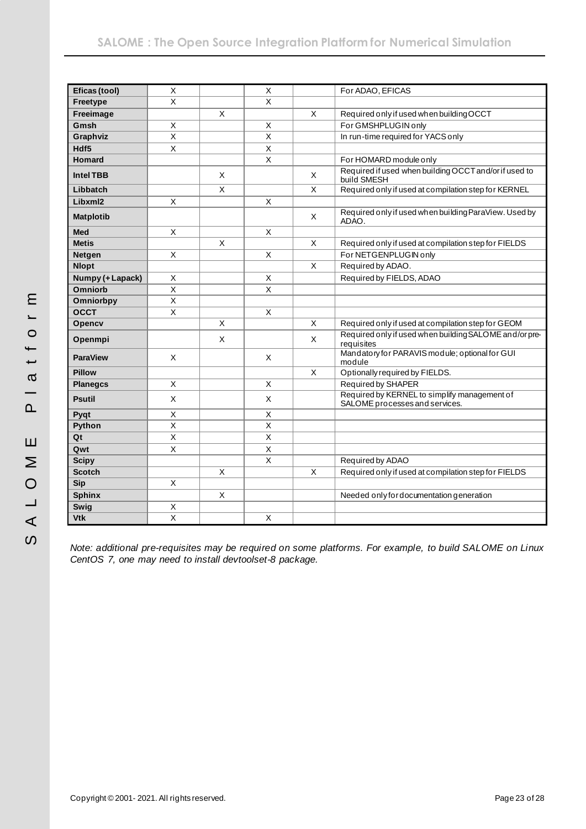| Eficas (tool)    | X                       |              | $\mathsf X$             |   | For ADAO, EFICAS                                                               |
|------------------|-------------------------|--------------|-------------------------|---|--------------------------------------------------------------------------------|
| Freetype         | $\times$                |              | $\times$                |   |                                                                                |
| Freeimage        |                         | X            |                         | X | Required only if used when building OCCT                                       |
| Gmsh             | X                       |              | X                       |   | For GMSHPLUGIN only                                                            |
| Graphviz         | $\overline{\mathsf{x}}$ |              | $\overline{\mathsf{x}}$ |   | In run-time required for YACS only                                             |
| Hdf5             | $\overline{\mathsf{x}}$ |              | $\overline{\mathsf{x}}$ |   |                                                                                |
| <b>Homard</b>    |                         |              | $\overline{\mathsf{x}}$ |   | For HOMARD module only                                                         |
| <b>Intel TBB</b> |                         | Χ            |                         | X | Required if used when building OCCT and/or if used to<br>build SMESH           |
| Libbatch         |                         | X            |                         | X | Required only if used at compilation step for KERNEL                           |
| Libxml2          | X                       |              | X                       |   |                                                                                |
| <b>Matplotib</b> |                         |              |                         | X | Required only if used when building ParaView. Used by<br>ADAO.                 |
| <b>Med</b>       | X                       |              | X                       |   |                                                                                |
| <b>Metis</b>     |                         | X            |                         | X | Required only if used at compilation step for FIELDS                           |
| <b>Netgen</b>    | X                       |              | $\sf X$                 |   | For NETGENPLUGIN only                                                          |
| <b>Nlopt</b>     |                         |              |                         | X | Required by ADAO.                                                              |
| Numpy (+ Lapack) | X                       |              | X                       |   | Required by FIELDS, ADAO                                                       |
| Omniorb          | $\mathsf X$             |              | $\overline{\mathsf{x}}$ |   |                                                                                |
| Omniorbpy        | X                       |              |                         |   |                                                                                |
| <b>OCCT</b>      | X                       |              | $\mathsf X$             |   |                                                                                |
| Opencv           |                         | $\mathsf{x}$ |                         | X | Required only if used at compilation step for GEOM                             |
| Openmpi          |                         | X            |                         | X | Required only if used when building SALOME and/or pre-<br>requisites           |
| <b>ParaView</b>  | X                       |              | X                       |   | Mandatory for PARAVIS module; optional for GUI<br>module                       |
| <b>Pillow</b>    |                         |              |                         | X | Optionally required by FIELDS.                                                 |
| <b>Planegcs</b>  | X                       |              | $\times$                |   | Required by SHAPER                                                             |
| <b>Psutil</b>    | X                       |              | X                       |   | Required by KERNEL to simplify management of<br>SALOME processes and services. |
| Pyqt             | X                       |              | X                       |   |                                                                                |
| Python           | $\overline{\mathsf{x}}$ |              | $\overline{\mathsf{x}}$ |   |                                                                                |
| Qt               | $\mathsf X$             |              | $\mathsf X$             |   |                                                                                |
| Qwt              | X                       |              | $\sf X$                 |   |                                                                                |
| <b>Scipy</b>     |                         |              | X                       |   | Required by ADAO                                                               |
| <b>Scotch</b>    |                         | X            |                         | X | Required only if used at compilation step for FIELDS                           |
| <b>Sip</b>       | X                       |              |                         |   |                                                                                |
| <b>Sphinx</b>    |                         | $\mathsf X$  |                         |   | Needed only for documentation generation                                       |
| Swig             | X                       |              |                         |   |                                                                                |
| <b>Vtk</b>       | $\overline{\mathsf{x}}$ |              | $\mathsf X$             |   |                                                                                |

*Note: additional pre-requisites may be required on some platforms. For example, to build SALOME on Linux CentOS 7, one may need to install devtoolset-8 package.*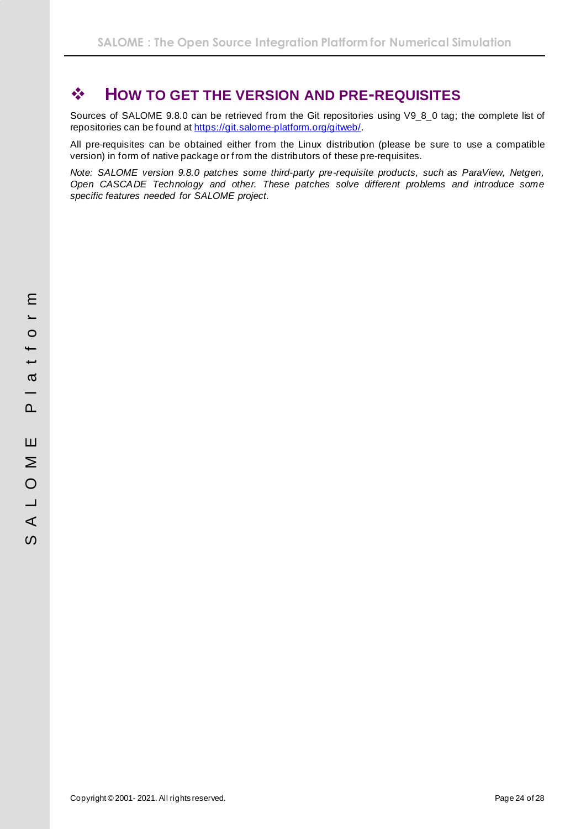# <span id="page-23-0"></span>❖ **HOW TO GET THE VERSION AND PRE-REQUISITES**

Sources of SALOME 9.8.0 can be retrieved from the Git repositories using V9\_8\_0 tag; the complete list of repositories can be found at<https://git.salome-platform.org/gitweb/>.

All pre-requisites can be obtained either from the Linux distribution (please be sure to use a compatible version) in form of native package or from the distributors of these pre-requisites.

*Note: SALOME version 9.8.0 patches some third-party pre-requisite products, such as ParaView, Netgen, Open CASCADE Technology and other. These patches solve different problems and introduce some specific features needed for SALOME project.*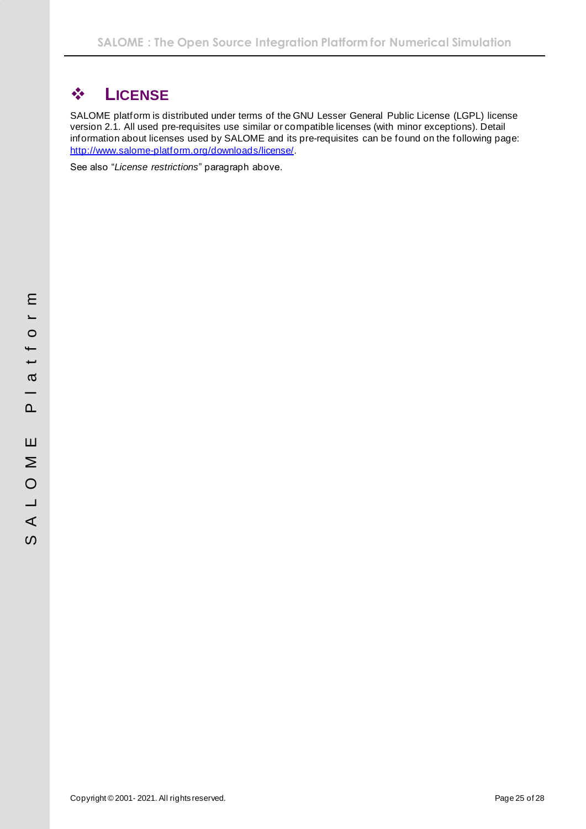# <span id="page-24-0"></span>❖ **LICENSE**

SALOME platform is distributed under terms of the GNU Lesser General Public License (LGPL) license version 2.1. All used pre-requisites use similar or compatible licenses (with minor exceptions). Detail information about licenses used by SALOME and its pre-requisites can be found on the following page: [http://www.salome-platform.org/downloads/license/.](http://www.salome-platform.org/downloads/license/)

See also "*[License restrictions](#page-7-0)*" paragraph above.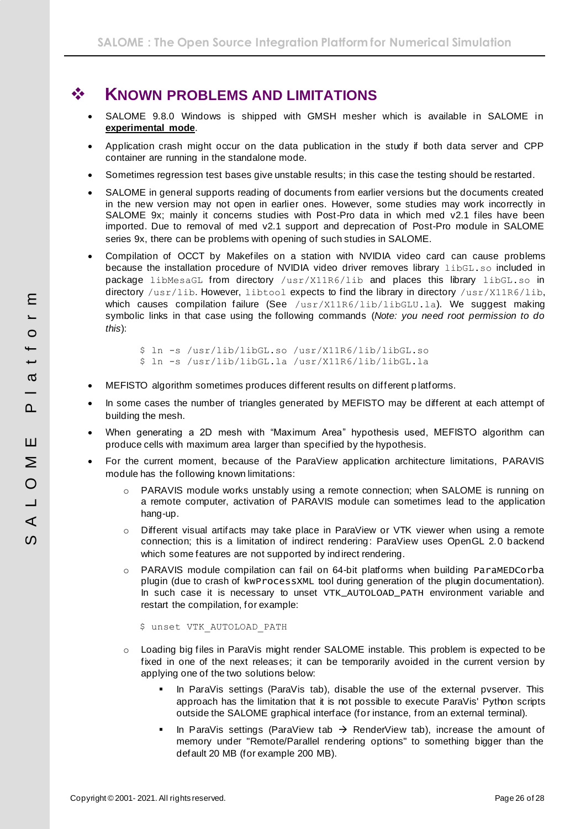# <span id="page-25-0"></span>❖ **KNOWN PROBLEMS AND LIMITATIONS**

- SALOME 9.8.0 Windows is shipped with GMSH mesher which is available in SALOME in **experimental mode**.
- Application crash might occur on the data publication in the study if both data server and CPP container are running in the standalone mode.
- Sometimes regression test bases give unstable results; in this case the testing should be restarted.
- SALOME in general supports reading of documents from earlier versions but the documents created in the new version may not open in earlier ones. However, some studies may work incorrectly in SALOME 9x; mainly it concerns studies with Post-Pro data in which med v2.1 files have been imported. Due to removal of med v2.1 support and deprecation of Post-Pro module in SALOME series 9x, there can be problems with opening of such studies in SALOME.
- Compilation of OCCT by Makefiles on a station with NVIDIA video card can cause problems because the installation procedure of NVIDIA video driver removes library libGL.so included in package libMesaGL from directory /usr/X11R6/lib and places this library libGL.so in directory /usr/lib. However, libtool expects to find the library in directory /usr/X11R6/lib, which causes compilation failure (See  $/\text{usr}/\text{X11R6}/\text{lib/LibGLU.La}$ ). We suggest making symbolic links in that case using the following commands (*Note: you need root permission to do this*):

\$ ln -s /usr/lib/libGL.so /usr/X11R6/lib/libGL.so \$ ln -s /usr/lib/libGL.la /usr/X11R6/lib/libGL.la

- MEFISTO algorithm sometimes produces different results on different platforms.
- In some cases the number of triangles generated by MEFISTO may be different at each attempt of building the mesh.
- When generating a 2D mesh with "Maximum Area" hypothesis used, MEFISTO algorithm can produce cells with maximum area larger than specified by the hypothesis.
- For the current moment, because of the ParaView application architecture limitations, PARAVIS module has the following known limitations:
	- o PARAVIS module works unstably using a remote connection; when SALOME is running on a remote computer, activation of PARAVIS module can sometimes lead to the application hang-up.
	- $\circ$  Different visual artifacts may take place in ParaView or VTK viewer when using a remote connection; this is a limitation of indirect rendering: ParaView uses OpenGL 2.0 backend which some features are not supported by indirect rendering.
	- o PARAVIS module compilation can fail on 64-bit platforms when building ParaMEDCorba plugin (due to crash of kwProcessXML tool during generation of the plugin documentation). In such case it is necessary to unset VTK\_AUTOLOAD\_PATH environment variable and restart the compilation, for example:

\$ unset VTK\_AUTOLOAD\_PATH

- o Loading big files in ParaVis might render SALOME instable. This problem is expected to be fixed in one of the next releases; it can be temporarily avoided in the current version by applying one of the two solutions below:
	- In ParaVis settings (ParaVis tab), disable the use of the external pvserver. This approach has the limitation that it is not possible to execute ParaVis' Python scripts outside the SALOME graphical interface (for instance, from an external terminal).
	- In ParaVis settings (ParaView tab  $\rightarrow$  RenderView tab), increase the amount of memory under "Remote/Parallel rendering options" to something bigger than the default 20 MB (for example 200 MB).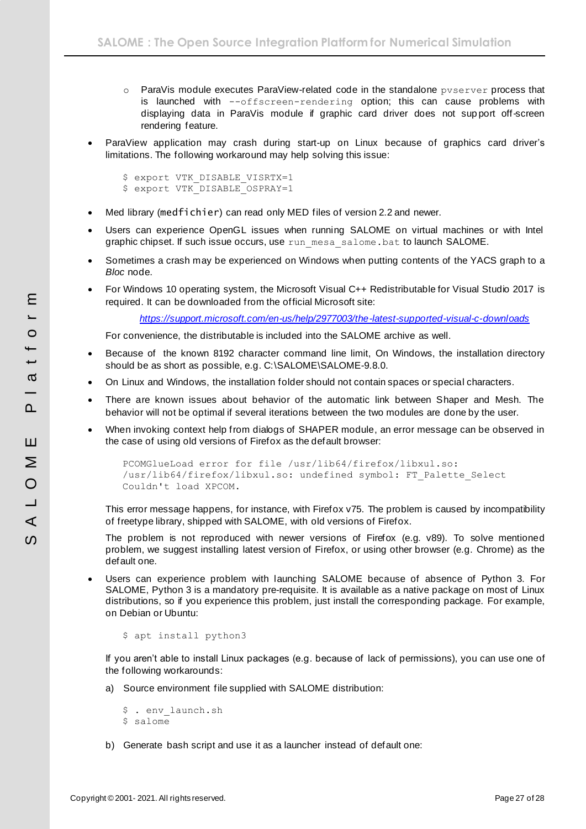- o ParaVis module executes ParaView-related code in the standalone pvserver process that is launched with --offscreen-rendering option; this can cause problems with displaying data in ParaVis module if graphic card driver does not sup port off-screen rendering feature.
- ParaView application may crash during start-up on Linux because of graphics card driver's limitations. The following workaround may help solving this issue:

```
$ export VTK DISABLE VISRTX=1
$ export VTK_DISABLE_OSPRAY=1
```
- Med library (medfichier) can read only MED files of version 2.2 and newer.
- Users can experience OpenGL issues when running SALOME on virtual machines or with Intel graphic chipset. If such issue occurs, use run mesa salome.bat to launch SALOME.
- Sometimes a crash may be experienced on Windows when putting contents of the YACS graph to a *Bloc* node.
- For Windows 10 operating system, the Microsoft Visual C++ Redistributable for Visual Studio 2017 is required. It can be downloaded from the official Microsoft site:

*<https://support.microsoft.com/en-us/help/2977003/the-latest-supported-visual-c-downloads>*

For convenience, the distributable is included into the SALOME archive as well.

- Because of the known 8192 character command line limit, On Windows, the installation directory should be as short as possible, e.g. C:\SALOME\SALOME-9.8.0.
- On Linux and Windows, the installation folder should not contain spaces or special characters.
- There are known issues about behavior of the automatic link between Shaper and Mesh. The behavior will not be optimal if several iterations between the two modules are done by the user.
- When invoking context help from dialogs of SHAPER module, an error message can be observed in the case of using old versions of Firefox as the default browser:

```
PCOMGlueLoad error for file /usr/lib64/firefox/libxul.so:
/usr/lib64/firefox/libxul.so: undefined symbol: FT_Palette_Select
Couldn't load XPCOM.
```
This error message happens, for instance, with Firefox v75. The problem is caused by incompatibility of freetype library, shipped with SALOME, with old versions of Firefox.

The problem is not reproduced with newer versions of Firefox (e.g. v89). To solve mentioned problem, we suggest installing latest version of Firefox, or using other browser (e.g. Chrome) as the default one.

• Users can experience problem with launching SALOME because of absence of Python 3. For SALOME, Python 3 is a mandatory pre-requisite. It is available as a native package on most of Linux distributions, so if you experience this problem, just install the corresponding package. For example, on Debian or Ubuntu:

```
$ apt install python3
```
If you aren't able to install Linux packages (e.g. because of lack of permissions), you can use one of the following workarounds:

a) Source environment file supplied with SALOME distribution:

```
$ . env_launch.sh
$ salome
```
b) Generate bash script and use it as a launcher instead of default one: